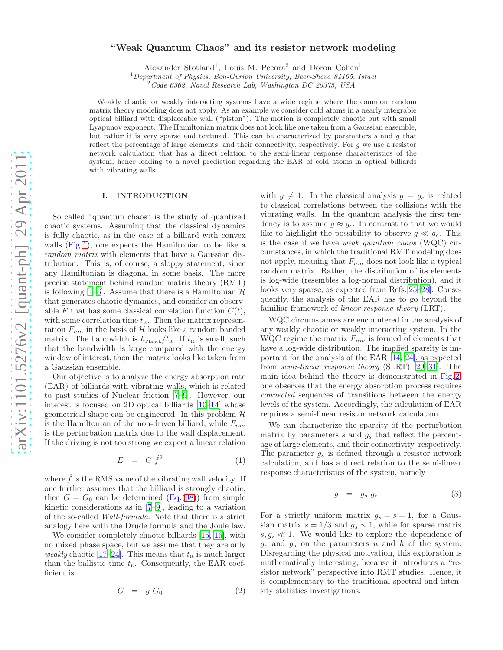# "Weak Quantum Chaos" and its resistor network modeling

Alexander Stotland<sup>1</sup>, Louis M. Pecora<sup>2</sup> and Doron Cohen<sup>1</sup>

 $1$ Department of Physics, Ben-Gurion University, Beer-Sheva 84105, Israel

 $2^2$ Code 6362, Naval Research Lab, Washington DC 20375, USA

Weakly chaotic or weakly interacting systems have a wide regime where the common random matrix theory modeling does not apply. As an example we consider cold atoms in a nearly integrable optical billiard with displaceable wall ("piston"). The motion is completely chaotic but with small Lyapunov exponent. The Hamiltonian matrix does not look like one taken from a Gaussian ensemble, but rather it is very sparse and textured. This can be characterized by parameters s and g that reflect the percentage of large elements, and their connectivity, respectively. For g we use a resistor network calculation that has a direct relation to the semi-linear response characteristics of the system, hence leading to a novel prediction regarding the EAR of cold atoms in optical billiards with vibrating walls.

#### I. INTRODUCTION

So called "quantum chaos" is the study of quantized chaotic systems. Assuming that the classical dynamics is fully chaotic, as in the case of a billiard with convex walls (Fig[.1\)](#page-15-0), one expects the Hamiltonian to be like a random matrix with elements that have a Gaussian distribution. This is, of course, a sloppy statement, since any Hamiltonian is diagonal in some basis. The more precise statement behind random matrix theory (RMT) is following  $[1-6]$  $[1-6]$ . Assume that there is a Hamiltonian  $\mathcal{H}$ that generates chaotic dynamics, and consider an observable F that has some classical correlation function  $C(t)$ , with some correlation time  $t_{R}$ . Then the matrix representation  $F_{nm}$  in the basis of  ${\mathcal H}$  looks like a random banded matrix. The bandwidth is  $\hbar_{\text{Planck}}/t_{\text{R}}$ . If  $t_{\text{R}}$  is small, such that the bandwidth is large compared with the energy window of interest, then the matrix looks like taken from a Gaussian ensemble.

Our objective is to analyze the energy absorption rate (EAR) of billiards with vibrating walls, which is related to past studies of Nuclear friction [\[7](#page-14-2)[–9\]](#page-14-3). However, our interest is focused on 2D optical billiards [\[10](#page-14-4)[–14\]](#page-14-5) whose geometrical shape can be engineered. In this problem  $H$ is the Hamiltonian of the non-driven billiard, while  $F_{nm}$ is the perturbation matrix due to the wall displacement. If the driving is not too strong we expect a linear relation

<span id="page-0-0"></span>
$$
\dot{E} = G \dot{f}^2 \tag{1}
$$

where  $\dot{f}$  is the RMS value of the vibrating wall velocity. If one further assumes that the billiard is strongly chaotic, then  $G = G_0$  can be determined  $(Eq. (98))$  $(Eq. (98))$  $(Eq. (98))$  from simple kinetic considerations as in  $[7-9]$  $[7-9]$ , leading to a variation of the so-called Wall-formula. Note that there is a strict analogy here with the Drude formula and the Joule law.

We consider completely chaotic billiards [\[15,](#page-14-6) [16\]](#page-14-7), with no mixed phase space, but we assume that they are only weakly chaotic [\[17](#page-14-8)[–24](#page-14-9)]. This means that  $t<sub>R</sub>$  is much larger than the ballistic time  $t_{\text{L}}$ . Consequently, the EAR coefficient is

$$
G = g G_0 \tag{2}
$$

with  $g \neq 1$ . In the classical analysis  $g = g_c$  is related to classical correlations between the collisions with the vibrating walls. In the quantum analysis the first tendency is to assume  $g \approx g_c$ . In contrast to that we would like to highlight the possibility to observe  $g \ll g_c$ . This is the case if we have weak quantum chaos (WQC) circumstances, in which the traditional RMT modeling does not apply, meaning that  $F_{nm}$  does not look like a typical random matrix. Rather, the distribution of its elements is log-wide (resembles a log-normal distribution), and it looks very sparse, as expected from Refs.[\[25](#page-14-10)[–28\]](#page-14-11). Consequently, the analysis of the EAR has to go beyond the familiar framework of linear response theory (LRT).

WQC circumstances are encountered in the analysis of any weakly chaotic or weakly interacting system. In the WQC regime the matrix  $F_{nm}$  is formed of elements that have a log-wide distribution. The implied sparsity is important for the analysis of the EAR [\[14,](#page-14-5) [24](#page-14-9)], as expected from semi-linear response theory (SLRT) [\[29](#page-14-12)[–31\]](#page-14-13). The main idea behind the theory is demonstrated in Fig[.2:](#page-15-1) one observes that the energy absorption process requires connected sequences of transitions between the energy levels of the system. Accordingly, the calculation of EAR requires a semi-linear resistor network calculation.

We can characterize the sparsity of the perturbation matrix by parameters s and  $g_s$  that reflect the percentage of large elements, and their connectivity, respectively. The parameter  $g_s$  is defined through a resistor network calculation, and has a direct relation to the semi-linear response characteristics of the system, namely

$$
g = g_s g_c \tag{3}
$$

For a strictly uniform matrix  $g_s = s = 1$ , for a Gaussian matrix  $s = 1/3$  and  $g_s \sim 1$ , while for sparse matrix  $s, g_s \ll 1$ . We would like to explore the dependence of  $g_c$  and  $g_s$  on the parameters u and h of the system. Disregarding the physical motivation, this exploration is mathematically interesting, because it introduces a "resistor network" perspective into RMT studies. Hence, it is complementary to the traditional spectral and intensity statistics investigations.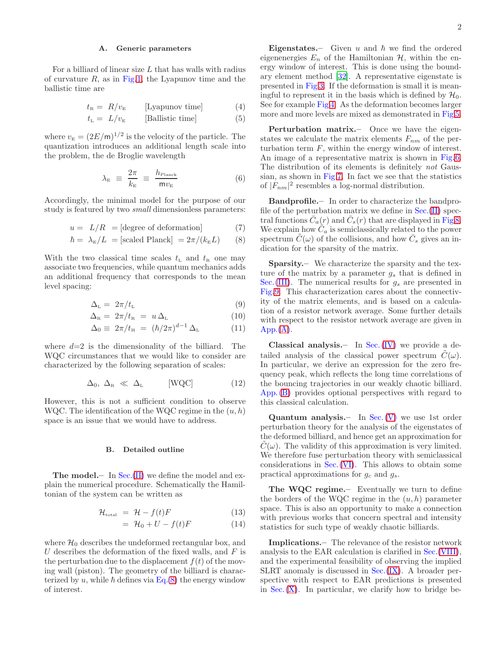#### A. Generic parameters

For a billiard of linear size  $L$  that has walls with radius of curvature  $R$ , as in Fig[.1,](#page-15-0) the Lyapunov time and the ballistic time are

$$
t_{\rm R} = R/v_{\rm E} \qquad \text{[Lyapunov time]} \tag{4}
$$

$$
t_{\rm L} = L/v_{\rm E} \qquad \text{[Ballistic time]} \tag{5}
$$

where  $v_{\rm E} = (2E/\text{m})^{1/2}$  is the velocity of the particle. The quantization introduces an additional length scale into the problem, the de Broglie wavelength

$$
\lambda_{\rm E} \equiv \frac{2\pi}{k_{\rm E}} \equiv \frac{h_{\rm Planck}}{\text{m}v_{\rm E}} \tag{6}
$$

Accordingly, the minimal model for the purpose of our study is featured by two *small* dimensionless parameters:

<span id="page-1-0"></span>
$$
u = L/R = [\text{degree of deformation}] \tag{7}
$$

$$
\hbar = \lambda_{\rm E}/L = [\text{scaled Planck}] = 2\pi/(k_{\rm E}L) \qquad (8)
$$

With the two classical time scales  $t_{\text{L}}$  and  $t_{\text{R}}$  one may associate two frequencies, while quantum mechanics adds an additional frequency that corresponds to the mean level spacing:

$$
\Delta_{\rm L} = 2\pi/t_{\rm L} \tag{9}
$$

$$
\Delta_{\rm R} = 2\pi/t_{\rm R} = u\,\Delta_{\rm L} \tag{10}
$$

$$
\Delta_0 \equiv 2\pi/t_{\rm H} = (\hbar/2\pi)^{d-1} \Delta_{\rm L} \tag{11}
$$

where  $d=2$  is the dimensionality of the billiard. The WQC circumstances that we would like to consider are characterized by the following separation of scales:

$$
\Delta_0, \ \Delta_{\rm R} \ \ll \ \Delta_{\rm L} \qquad \text{[WQC]} \tag{12}
$$

However, this is not a sufficient condition to observe WQC. The identification of the WQC regime in the  $(u, h)$ space is an issue that we would have to address.

#### B. Detailed outline

**The model.**— In Sec.  $(II)$  we define the model and explain the numerical procedure. Schematically the Hamiltonian of the system can be written as

<span id="page-1-1"></span>
$$
\mathcal{H}_{\text{total}} = \mathcal{H} - f(t)F \tag{13}
$$

$$
= \mathcal{H}_0 + U - f(t)F \tag{14}
$$

where  $\mathcal{H}_0$  describes the undeformed rectangular box, and U describes the deformation of the fixed walls, and  $F$  is the perturbation due to the displacement  $f(t)$  of the moving wall (piston). The geometry of the billiard is characterized by u, while  $\hbar$  defines via Eq.[\(8\)](#page-1-0) the energy window of interest.

**Eigenstates.** Given u and  $\hbar$  we find the ordered eigenenergies  $E_n$  of the Hamiltonian  $H$ , within the energy window of interest. This is done using the boundary element method [\[32\]](#page-14-14). A representative eigenstate is presented in Fig[.3.](#page-15-2) If the deformation is small it is meaningful to represent it in the basis which is defined by  $\mathcal{H}_0$ . See for example Fig[.4.](#page-15-3) As the deformation becomes larger more and more levels are mixed as demonstrated in Fig[.5.](#page-15-4)

Perturbation matrix.– Once we have the eigenstates we calculate the matrix elements  $F_{nm}$  of the perturbation term  $F$ , within the energy window of interest. An image of a representative matrix is shown in Fig[.6.](#page-16-0) The distribution of its elements is definitely not Gaussian, as shown in Fig[.7.](#page-16-1) In fact we see that the statistics of  $|F_{nm}|^2$  resembles a log-normal distribution.

Bandprofile.– In order to characterize the bandprofile of the perturbation matrix we define in  $Sec.(II)$  $Sec.(II)$  spectral functions  $\bar{C}_a(r)$  and  $\bar{C}_s(r)$  that are displayed in Fig[.8.](#page-16-2) We explain how  $\tilde{C}_a$  is semiclassically related to the power spectrum  $\tilde{C}(\omega)$  of the collisions, and how  $\bar{C}_s$  gives an indication for the sparsity of the matrix.

Sparsity.– We characterize the sparsity and the texture of the matrix by a parameter  $g_s$  that is defined in Sec. [\(III\)](#page-3-0). The numerical results for  $g_s$  are presented in Fig[.9.](#page-17-0) This characterization cares about the connectivity of the matrix elements, and is based on a calculation of a resistor network average. Some further details with respect to the resistor network average are given in  $App.(A).$  $App.(A).$  $App.(A).$ 

**Classical analysis.** In Sec.  $(IV)$  we provide a detailed analysis of the classical power spectrum  $C(\omega)$ . In particular, we derive an expression for the zero frequency peak, which reflects the long time correlations of the bouncing trajectories in our weakly chaotic billiard. App. [\(B\)](#page-13-0) provides optional perspectives with regard to this classical calculation.

**Quantum analysis.** In Sec.  $(V)$  we use 1st order perturbation theory for the analysis of the eigenstates of the deformed billiard, and hence get an approximation for  $C(\omega)$ . The validity of this approximation is very limited. We therefore fuse perturbation theory with semiclassical considerations in Sec.[\(VI\)](#page-6-0). This allows to obtain some practical approximations for  $g_c$  and  $g_s$ .

The WQC regime.– Eventually we turn to define the borders of the WQC regime in the  $(u, h)$  parameter space. This is also an opportunity to make a connection with previous works that concern spectral and intensity statistics for such type of weakly chaotic billiards.

Implications.– The relevance of the resistor network analysis to the EAR calculation is clarified in Sec.[\(VIII\)](#page-9-1), and the experimental feasibility of observing the implied SLRT anomaly is discussed in Sec.[\(IX\)](#page-10-0). A broader perspective with respect to EAR predictions is presented in  $Sec. (X)$  $Sec. (X)$ . In particular, we clarify how to bridge be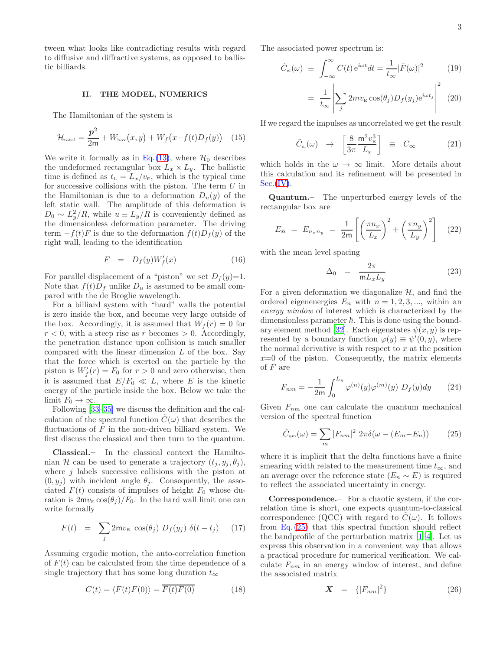tween what looks like contradicting results with regard to diffusive and diffractive systems, as opposed to ballistic billiards.

#### <span id="page-2-0"></span>II. THE MODEL, NUMERICS

The Hamiltonian of the system is

$$
\mathcal{H}_{\text{total}} = \frac{\mathbf{p}^2}{2\mathbf{m}} + W_{\text{box}}(x, y) + W_f(x - f(t)D_f(y)) \quad (15)
$$

We write it formally as in Eq.[\(13\)](#page-1-1), where  $\mathcal{H}_0$  describes the undeformed rectangular box  $L_x \times L_y$ . The ballistic time is defined as  $t_{\rm L} = L_x/v_{\rm E}$ , which is the typical time for successive collisions with the piston. The term  $U$  in the Hamiltonian is due to a deformation  $D_u(y)$  of the left static wall. The amplitude of this deformation is  $D_0 \sim L_y^2/R$ , while  $u \equiv L_y/R$  is conveniently defined as the dimensionless deformation parameter. The driving term  $-f(t)F$  is due to the deformation  $f(t)D_f(y)$  of the right wall, leading to the identification

$$
F = D_f(y)W_f'(x) \tag{16}
$$

For parallel displacement of a "piston" we set  $D_f(y)=1$ . Note that  $f(t)D_f$  unlike  $D_u$  is assumed to be small compared with the de Broglie wavelength.

For a billiard system with "hard" walls the potential is zero inside the box, and become very large outside of the box. Accordingly, it is assumed that  $W_f(r) = 0$  for  $r < 0$ , with a steep rise as r becomes  $> 0$ . Accordingly, the penetration distance upon collision is much smaller compared with the linear dimension  $L$  of the box. Say that the force which is exerted on the particle by the piston is  $W_f'(r) = F_0$  for  $r > 0$  and zero otherwise, then it is assumed that  $E/F_0 \ll L$ , where E is the kinetic energy of the particle inside the box. Below we take the limit  $F_0 \to \infty$ .

Following [\[33](#page-14-15)[–35\]](#page-14-16) we discuss the definition and the calculation of the spectral function  $\tilde{C}(\omega)$  that describes the fluctuations of  $F$  in the non-driven billiard system. We first discuss the classical and then turn to the quantum.

Classical.– In the classical context the Hamiltonian H can be used to generate a trajectory  $(t_i, y_i, \theta_i)$ , where  $j$  labels successive collisions with the piston at  $(0, y_j)$  with incident angle  $\theta_j$ . Consequently, the associated  $F(t)$  consists of impulses of height  $F_0$  whose duration is  $2mv_E \cos(\theta_i)/F_0$ . In the hard wall limit one can write formally

<span id="page-2-3"></span>
$$
F(t) = \sum_{j} 2m v_{E} \cos(\theta_{j}) D_{f}(y_{j}) \delta(t - t_{j})
$$
 (17)

Assuming ergodic motion, the auto-correlation function of  $F(t)$  can be calculated from the time dependence of a single trajectory that has some long duration  $t_{\infty}$ 

$$
C(t) = \langle F(t)F(0) \rangle = \overline{F(t)F(0)} \tag{18}
$$

The associated power spectrum is:

<span id="page-2-4"></span>
$$
\tilde{C}_{\text{cl}}(\omega) \equiv \int_{-\infty}^{\infty} C(t) e^{i\omega t} dt = \frac{1}{t_{\infty}} |\tilde{F}(\omega)|^2 \qquad (19)
$$

$$
= \frac{1}{t_{\infty}} \left| \sum_{j} 2mv_{\rm E} \cos(\theta_j) D_f(y_j) e^{i\omega t_j} \right|^2 \tag{20}
$$

If we regard the impulses as uncorrelated we get the result

<span id="page-2-2"></span>
$$
\tilde{C}_{\text{el}}(\omega) \rightarrow \left[\frac{8}{3\pi} \frac{\mathsf{m}^2 v_{\text{E}}^3}{L_x}\right] \equiv C_{\infty} \quad (21)
$$

which holds in the  $\omega \to \infty$  limit. More details about this calculation and its refinement will be presented in  $Sec.(IV).$  $Sec.(IV).$  $Sec.(IV).$ 

Quantum.– The unperturbed energy levels of the rectangular box are

$$
E_{\bar{n}} = E_{n_x n_y} = \frac{1}{2m} \left[ \left( \frac{\pi n_x}{L_x} \right)^2 + \left( \frac{\pi n_y}{L_y} \right)^2 \right] \quad (22)
$$

with the mean level spacing

$$
\Delta_0 = \frac{2\pi}{mL_xL_y} \tag{23}
$$

For a given deformation we diagonalize  $H$ , and find the ordered eigenenergies  $E_n$  with  $n = 1, 2, 3, \dots$ , within an energy window of interest which is characterized by the dimensionless parameter  $\hbar$ . This is done using the bound-ary element method [\[32\]](#page-14-14). Each eigenstates  $\psi(x, y)$  is represented by a boundary function  $\varphi(y) \equiv \psi'(0, y)$ , where the normal derivative is with respect to  $x$  at the position  $x=0$  of the piston. Consequently, the matrix elements of  $F$  are

<span id="page-2-5"></span>
$$
F_{nm} = -\frac{1}{2m} \int_0^{L_y} \varphi^{(n)}(y) \varphi^{(m)}(y) D_f(y) dy \qquad (24)
$$

Given  $F_{nm}$  one can calculate the quantum mechanical version of the spectral function

<span id="page-2-1"></span>
$$
\tilde{C}_{qm}(\omega) = \sum_{m} |F_{nm}|^2 2\pi \delta(\omega - (E_m - E_n)) \qquad (25)
$$

where it is implicit that the delta functions have a finite smearing width related to the measurement time  $t_{\infty}$ , and an average over the reference state  $(E_n \sim E)$  is required to reflect the associated uncertainty in energy.

Correspondence.– For a chaotic system, if the correlation time is short, one expects quantum-to-classical correspondence (QCC) with regard to  $C(\omega)$ . It follows from Eq. [\(25\)](#page-2-1) that this spectral function should reflect the bandprofile of the perturbation matrix  $[1-4]$  $[1-4]$ . Let us express this observation in a convenient way that allows a practical procedure for numerical verification. We calculate  $F_{nm}$  in an energy window of interest, and define the associated matrix

$$
\mathbf{X} = \{ |F_{nm}|^2 \} \tag{26}
$$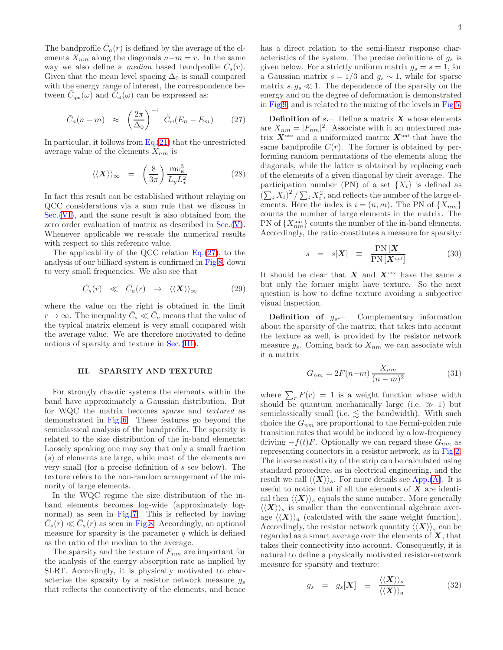The bandprofile  $\bar{C}_a(r)$  is defined by the average of the elements  $X_{nm}$  along the diagonals  $n-m = r$ . In the same way we also define a *median* based bandprofile  $\overline{C}_s(r)$ . Given that the mean level spacing  $\Delta_0$  is small compared with the energy range of interest, the correspondence between  $\widetilde{C}_{\text{qm}}(\omega)$  and  $\widetilde{C}_{\text{cl}}(\omega)$  can be expressed as:

<span id="page-3-1"></span>
$$
\bar{C}_a(n-m) \approx \left(\frac{2\pi}{\Delta_0}\right)^{-1} \tilde{C}_{\text{cl}}(E_n - E_m) \qquad (27)
$$

In particular, it follows from  $Eq.(21)$  $Eq.(21)$  that the unrestricted average value of the elements  $X_{nm}$  is

<span id="page-3-4"></span>
$$
\langle \langle \mathbf{X} \rangle \rangle_{\infty} = \left( \frac{8}{3\pi} \right) \frac{\text{m}v_{\text{E}}^3}{L_y L_x^2} \tag{28}
$$

In fact this result can be established without relaying on QCC considerations via a sum rule that we discuss in Sec.[\(VI\)](#page-6-0), and the same result is also obtained from the zero order evaluation of matrix as described in Sec.[\(V\)](#page-5-0). Whenever applicable we re-scale the numerical results with respect to this reference value.

The applicability of the QCC relation  $Eq.(27)$  $Eq.(27)$ , to the analysis of our billiard system is confirmed in Fig[.8,](#page-16-2) down to very small frequencies. We also see that

$$
\bar{C}_s(r) \ll \bar{C}_a(r) \rightarrow \langle\langle \mathbf{X} \rangle\rangle_{\infty} \tag{29}
$$

where the value on the right is obtained in the limit  $r \to \infty$ . The inequality  $\bar{C}_s \ll \bar{C}_a$  means that the value of the typical matrix element is very small compared with the average value. We are therefore motivated to define notions of sparsity and texture in Sec. [\(III\)](#page-3-0).

### <span id="page-3-0"></span>III. SPARSITY AND TEXTURE

For strongly chaotic systems the elements within the band have approximately a Gaussian distribution. But for WQC the matrix becomes sparse and textured as demonstrated in Fig. [6.](#page-16-0) These features go beyond the semiclassical analysis of the bandprofile. The sparsity is related to the size distribution of the in-band elements: Loosely speaking one may say that only a small fraction (s) of elements are large, while most of the elements are very small (for a precise definition of s see below). The texture refers to the non-random arrangement of the minority of large elements.

In the WQC regime the size distribution of the inband elements becomes log-wide (approximately lognormal) as seen in Fig. [7.](#page-16-1) This is reflected by having  $\bar{C}_s(r) \ll \bar{C}_a(r)$  as seen in Fig[.8.](#page-16-2) Accordingly, an optional measure for sparsity is the parameter  $q$  which is defined as the ratio of the median to the average.

The sparsity and the texture of  $F_{nm}$  are important for the analysis of the energy absorption rate as implied by SLRT. Accordingly, it is physically motivated to characterize the sparsity by a resistor network measure  $q_s$ that reflects the connectivity of the elements, and hence has a direct relation to the semi-linear response characteristics of the system. The precise definitions of  $g_s$  is given below. For a strictly uniform matrix  $g_s = s = 1$ , for a Gaussian matrix  $s = 1/3$  and  $g_s \sim 1$ , while for sparse matrix  $s, g_s \ll 1$ . The dependence of the sparsity on the energy and on the degree of deformation is demonstrated in Fig[.9,](#page-17-0) and is related to the mixing of the levels in Fig[.5.](#page-15-4)

**Definition of s.** Define a matrix  $X$  whose elements are  $X_{nm} = |F_{nm}|^2$ . Associate with it an untextured matrix  $X^{\text{utx}}$  and a uniformized matrix  $X^{\text{unf}}$  that have the same bandprofile  $C(r)$ . The former is obtained by performing random permutations of the elements along the diagonals, while the latter is obtained by replacing each of the elements of a given diagonal by their average. The participation number (PN) of a set  $\{X_i\}$  is defined as  $\left(\sum_{i} X_i\right)^2 / \sum_{i} X_i^2$ , and reflects the number of the large elements. Here the index is  $i = (n, m)$ . The PN of  $\{X_{nm}\}\$ counts the number of large elements in the matrix. The PN of  $\{X_{nm}^{\text{unf}}\}$  counts the number of the in-band elements. Accordingly, the ratio constitutes a measure for sparsity:

$$
s = s[\boldsymbol{X}] \equiv \frac{\text{PN}[\boldsymbol{X}]}{\text{PN}[\boldsymbol{X}^{\text{unf}}]} \tag{30}
$$

It should be clear that  $X$  and  $X^{ux}$  have the same s but only the former might have texture. So the next question is how to define texture avoiding a subjective visual inspection.

**Definition of**  $g_s$ **.** Complementary information about the sparsity of the matrix, that takes into account the texture as well, is provided by the resistor network measure  $g_s$ . Coming back to  $X_{nm}$  we can associate with it a matrix

<span id="page-3-3"></span>
$$
G_{nm} = 2F(n-m)\frac{X_{nm}}{(n-m)^2} \tag{31}
$$

where  $\sum_r F(r) = 1$  is a weight function whose width should be quantum mechanically large (i.e.  $\gg 1$ ) but semiclassically small (i.e.  $\lesssim$  the bandwidth). With such choice the  $G_{nm}$  are proportional to the Fermi-golden rule transition rates that would be induced by a low-frequency driving  $-f(t)F$ . Optionally we can regard these  $G_{nm}$  as representing connectors in a resistor network, as in Fig[.2.](#page-15-1) The inverse resistivity of the strip can be calculated using standard procedure, as in electrical engineering, and the result we call  $\langle \langle X \rangle \rangle_s$ . For more details see App.[\(A\)](#page-12-0). It is useful to notice that if all the elements of  $X$  are identical then  $\langle \langle X \rangle \rangle_s$  equals the same number. More generally  $\langle \langle X \rangle \rangle_s$  is smaller than the conventional algebraic average  $\langle \langle X \rangle \rangle_a$  (calculated with the same weight function). Accordingly, the resistor network quantity  $\langle \langle X \rangle \rangle_s$  can be regarded as a smart average over the elements of  $X$ , that takes their connectivity into account. Consequently, it is natural to define a physically motivated resistor-network measure for sparsity and texture:

<span id="page-3-2"></span>
$$
g_s = g_s[\boldsymbol{X}] \equiv \frac{\langle \langle \boldsymbol{X} \rangle \rangle_s}{\langle \langle \boldsymbol{X} \rangle \rangle_a} \tag{32}
$$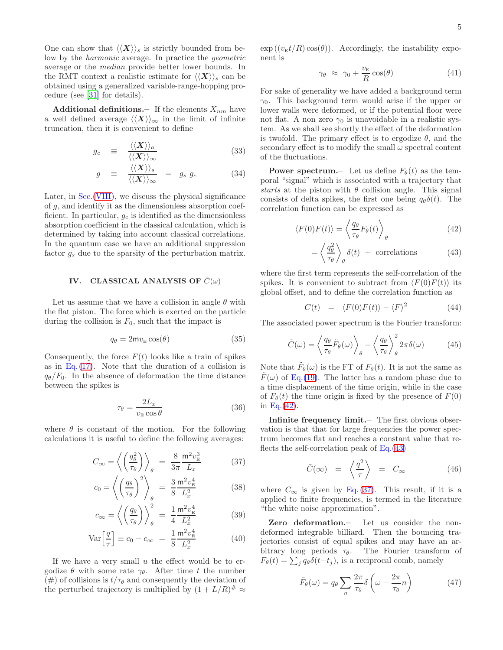One can show that  $\langle \langle X \rangle \rangle_s$  is strictly bounded from below by the harmonic average. In practice the geometric average or the median provide better lower bounds. In the RMT context a realistic estimate for  $\langle \langle X \rangle \rangle_s$  can be obtained using a generalized variable-range-hopping procedure (see [\[31](#page-14-13)] for details).

Additional definitions.– If the elements  $X_{nm}$  have a well defined average  $\langle \langle X \rangle \rangle_{\infty}$  in the limit of infinite truncation, then it is convenient to define

<span id="page-4-5"></span>
$$
g_c \equiv \frac{\langle \langle \boldsymbol{X} \rangle \rangle_a}{\langle \langle \boldsymbol{X} \rangle \rangle_\infty} \tag{33}
$$

$$
g \equiv \frac{\langle \langle \boldsymbol{X} \rangle \rangle_s}{\langle \langle \boldsymbol{X} \rangle \rangle_\infty} = g_s g_c \tag{34}
$$

Later, in Sec.[\(VIII\)](#page-9-1), we discuss the physical significance of g, and identify it as the dimensionless absorption coefficient. In particular,  $g_c$  is identified as the dimensionless absorption coefficient in the classical calculation, which is determined by taking into account classical correlations. In the quantum case we have an additional suppression factor  $g_s$  due to the sparsity of the perturbation matrix.

## <span id="page-4-0"></span>IV. CLASSICAL ANALYSIS OF  $\tilde{C}(\omega)$

Let us assume that we have a collision in angle  $\theta$  with the flat piston. The force which is exerted on the particle during the collision is  $F_0$ , such that the impact is

$$
q_{\theta} = 2m v_{\rm E} \cos(\theta) \tag{35}
$$

Consequently, the force  $F(t)$  looks like a train of spikes as in Eq.  $(17)$ . Note that the duration of a collision is  $q_{\theta}/F_0$ . In the absence of deformation the time distance between the spikes is

$$
\tau_{\theta} = \frac{2L_x}{v_{\rm E}\cos\theta} \tag{36}
$$

where  $\theta$  is constant of the motion. For the following calculations it is useful to define the following averages:

<span id="page-4-2"></span>
$$
C_{\infty} = \left\langle \left(\frac{q_{\theta}^{2}}{\tau_{\theta}}\right) \right\rangle_{\theta} = \frac{8}{3\pi} \frac{\mathrm{m}^{2} v_{\mathrm{E}}^{3}}{L_{x}}
$$
 (37)

$$
c_0 = \left\langle \left(\frac{q_\theta}{\tau_\theta}\right)^2 \right\rangle_\theta = \frac{3}{8} \frac{\mathrm{m}^2 v_\mathrm{E}^4}{L_x^2} \tag{38}
$$

$$
c_{\infty} = \left\langle \left(\frac{q_{\theta}}{\tau_{\theta}}\right) \right\rangle_{\theta}^{2} = \frac{1}{4} \frac{\mathsf{m}^{2} v_{\mathrm{E}}^{4}}{L_{x}^{2}} \tag{39}
$$

$$
\text{Var}\left[\frac{q}{\tau}\right] \equiv c_0 - c_\infty = \frac{1}{8} \frac{\mathsf{m}^2 v_{\rm E}^4}{L_x^2} \tag{40}
$$

If we have a very small  $u$  the effect would be to ergodize  $\theta$  with some rate  $\gamma_{\theta}$ . After time t the number  $(\#)$  of collisions is  $t/\tau_{\theta}$  and consequently the deviation of the perturbed trajectory is multiplied by  $(1 + L/R)^{\#} \approx$ 

 $\exp((v_{\rm E}t/R)\cos(\theta))$ . Accordingly, the instability exponent is

<span id="page-4-4"></span>
$$
\gamma_{\theta} \approx \gamma_0 + \frac{v_{\rm E}}{R} \cos(\theta) \tag{41}
$$

For sake of generality we have added a background term  $\gamma_0$ . This background term would arise if the upper or lower walls were deformed, or if the potential floor were not flat. A non zero  $\gamma_0$  is unavoidable in a realistic system. As we shall see shortly the effect of the deformation is twofold. The primary effect is to ergodize  $\theta$ , and the secondary effect is to modify the small  $\omega$  spectral content of the fluctuations.

**Power spectrum.**— Let us define  $F_{\theta}(t)$  as the temporal "signal" which is associated with a trajectory that starts at the piston with  $\theta$  collision angle. This signal consists of delta spikes, the first one being  $q_{\theta} \delta(t)$ . The correlation function can be expressed as

<span id="page-4-1"></span>
$$
\langle F(0)F(t)\rangle = \left\langle \frac{q_{\theta}}{\tau_{\theta}}F_{\theta}(t)\right\rangle_{\theta} \tag{42}
$$

$$
= \left\langle \frac{q_{\theta}^{2}}{\tau_{\theta}} \right\rangle_{\theta} \delta(t) + \text{ correlations}
$$
 (43)

where the first term represents the self-correlation of the spikes. It is convenient to subtract from  $\langle F(0)F(t)\rangle$  its global offset, and to define the correlation function as

$$
C(t) = \langle F(0)F(t) \rangle - \langle F \rangle^2 \tag{44}
$$

The associated power spectrum is the Fourier transform:

<span id="page-4-3"></span>
$$
\tilde{C}(\omega) = \left\langle \frac{q_{\theta}}{\tau_{\theta}} \tilde{F}_{\theta}(\omega) \right\rangle_{\theta} - \left\langle \frac{q_{\theta}}{\tau_{\theta}} \right\rangle_{\theta}^{2} 2\pi \delta(\omega) \tag{45}
$$

Note that  $\tilde{F}_{\theta}(\omega)$  is the FT of  $F_{\theta}(t)$ . It is not the same as  $F(\omega)$  of Eq.[\(19\)](#page-2-4). The latter has a random phase due to a time displacement of the time origin, while in the case of  $F_{\theta}(t)$  the time origin is fixed by the presence of  $F(0)$ in Eq. $(42)$ .

Infinite frequency limit.– The first obvious observation is that that for large frequencies the power spectrum becomes flat and reaches a constant value that reflects the self-correlation peak of  $Eq.(43)$  $Eq.(43)$ 

$$
\tilde{C}(\infty) = \left\langle \frac{q^2}{\tau} \right\rangle = C_{\infty} \tag{46}
$$

where  $C_{\infty}$  is given by Eq. [\(37\)](#page-4-2). This result, if it is a applied to finite frequencies, is termed in the literature "the white noise approximation".

Zero deformation.– Let us consider the nondeformed integrable billiard. Then the bouncing trajectories consist of equal spikes and may have an arbitrary long periods  $\tau_{\theta}$ . The Fourier transform of  $F_{\theta}(t) = \sum_{j} q_{\theta} \delta(t-t_j)$ , is a reciprocal comb, namely

$$
\tilde{F}_{\theta}(\omega) = q_{\theta} \sum_{n} \frac{2\pi}{\tau_{\theta}} \delta\left(\omega - \frac{2\pi}{\tau_{\theta}}n\right)
$$
\n(47)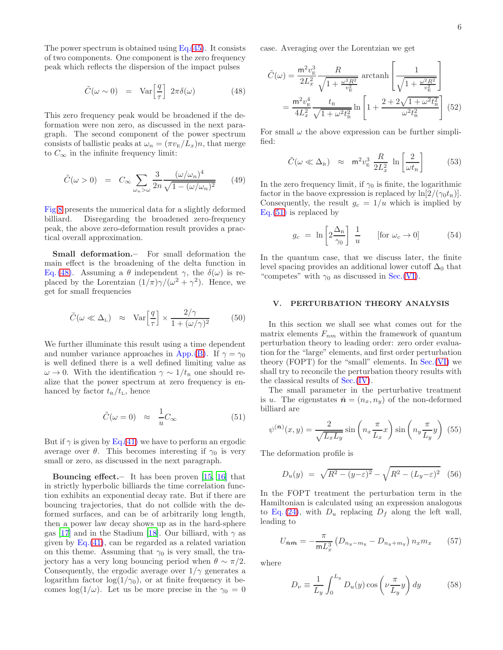The power spectrum is obtained using  $Eq.(45)$  $Eq.(45)$ . It consists of two components. One component is the zero frequency peak which reflects the dispersion of the impact pulses

<span id="page-5-1"></span>
$$
\tilde{C}(\omega \sim 0) = \text{Var}\left[\frac{q}{\tau}\right] 2\pi \delta(\omega) \tag{48}
$$

This zero frequency peak would be broadened if the deformation were non zero, as discussed in the next paragraph. The second component of the power spectrum consists of ballistic peaks at  $\omega_n = (\pi v_E/L_x)n$ , that merge to  $C_{\infty}$  in the infinite frequency limit:

$$
\tilde{C}(\omega > 0) = C_{\infty} \sum_{\omega_n > \omega} \frac{3}{2n} \frac{(\omega/\omega_n)^4}{\sqrt{1 - (\omega/\omega_n)^2}} \qquad (49)
$$

Fig[.8](#page-16-2) presents the numerical data for a slightly deformed billiard. Disregarding the broadened zero-frequency peak, the above zero-deformation result provides a practical overall approximation.

Small deformation.– For small deformation the main effect is the broadening of the delta function in Eq. [\(48\)](#page-5-1). Assuming a  $\theta$  independent  $\gamma$ , the  $\delta(\omega)$  is replaced by the Lorentzian  $(1/\pi)\gamma/(\omega^2+\gamma^2)$ . Hence, we get for small frequencies

<span id="page-5-3"></span>
$$
\tilde{C}(\omega \ll \Delta_{\rm L}) \approx \text{Var}\left[\frac{q}{\tau}\right] \times \frac{2/\gamma}{1 + (\omega/\gamma)^2} \tag{50}
$$

We further illuminate this result using a time dependent and number variance approaches in App.[\(B\)](#page-13-0). If  $\gamma = \gamma_0$ is well defined there is a well defined limiting value as  $\omega \to 0$ . With the identification  $\gamma \sim 1/t_{\rm R}$  one should realize that the power spectrum at zero frequency is enhanced by factor  $t_{\rm R}/t_{\rm L}$ , hence

<span id="page-5-2"></span>
$$
\tilde{C}(\omega = 0) \approx \frac{1}{u}C_{\infty} \tag{51}
$$

But if  $\gamma$  is given by Eq.[\(41\)](#page-4-4) we have to perform an ergodic average over  $\theta$ . This becomes interesting if  $\gamma_0$  is very small or zero, as discussed in the next paragraph.

Bouncing effect.– It has been proven [\[15,](#page-14-6) [16](#page-14-7)] that in strictly hyperbolic billiards the time correlation function exhibits an exponential decay rate. But if there are bouncing trajectories, that do not collide with the deformed surfaces, and can be of arbitrarily long length, then a power law decay shows up as in the hard-sphere gas [\[17\]](#page-14-8) and in the Stadium [\[18\]](#page-14-18). Our billiard, with  $\gamma$  as given by  $Eq.(41)$  $Eq.(41)$ , can be regarded as a related variation on this theme. Assuming that  $\gamma_0$  is very small, the trajectory has a very long bouncing period when  $\theta \sim \pi/2$ . Consequently, the ergodic average over  $1/\gamma$  generates a logarithm factor  $log(1/\gamma_0)$ , or at finite frequency it becomes  $\log(1/\omega)$ . Let us be more precise in the  $\gamma_0 = 0$ 

case. Averaging over the Lorentzian we get

<span id="page-5-4"></span>
$$
\tilde{C}(\omega) = \frac{\mathsf{m}^2 v_{\rm E}^3}{2L_x^2} \frac{R}{\sqrt{1 + \frac{\omega^2 R^2}{v_{\rm E}^2}}} \operatorname{arctanh}\left[\frac{1}{\sqrt{1 + \frac{\omega^2 R^2}{v_{\rm E}^2}}}\right]
$$
\n
$$
= \frac{\mathsf{m}^2 v_{\rm E}^4}{4L_x^2} \frac{t_{\rm R}}{\sqrt{1 + \omega^2 t_{\rm R}^2}} \ln\left[1 + \frac{2 + 2\sqrt{1 + \omega^2 t_{\rm R}^2}}{\omega^2 t_{\rm R}^2}\right] (52)
$$

For small  $\omega$  the above expression can be further simplified:

$$
\tilde{C}(\omega \ll \Delta_{\rm R}) \approx \mathsf{m}^2 v_{\rm E}^3 \frac{R}{2L_x^2} \ln\left[\frac{2}{\omega t_{\rm R}}\right] \tag{53}
$$

In the zero frequency limit, if  $\gamma_0$  is finite, the logarithmic factor in the baove expression is replaced by  $\ln[2/(\gamma_0 t_{\rm R})]$ . Consequently, the result  $g_c = 1/u$  which is implied by Eq.[\(51\)](#page-5-2) is replaced by

$$
g_c = \ln \left[ 2 \frac{\Delta_{\rm R}}{\gamma_0} \right] \frac{1}{u} \qquad \text{[for } \omega_c \to 0] \tag{54}
$$

In the quantum case, that we discuss later, the finite level spacing provides an additional lower cutoff  $\Delta_0$  that "competes" with  $\gamma_0$  as discussed in Sec.[\(VI\)](#page-6-0).

### <span id="page-5-0"></span>V. PERTURBATION THEORY ANALYSIS

In this section we shall see what comes out for the matrix elements  $F_{nm}$  within the framework of quantum perturbation theory to leading order: zero order evaluation for the "large" elements, and first order perturbation theory (FOPT) for the "small" elements. In Sec.[\(VI\)](#page-6-0) we shall try to reconcile the perturbation theory results with the classical results of Sec.[\(IV\)](#page-4-0).

The small parameter in the perturbative treatment is u. The eigenstates  $\bar{\mathbf{n}} = (n_x, n_y)$  of the non-deformed billiard are

$$
\psi^{(\bar{n})}(x,y) = \frac{2}{\sqrt{L_x L_y}} \sin\left(n_x \frac{\pi}{L_x} x\right) \sin\left(n_y \frac{\pi}{L_y} y\right) (55)
$$

The deformation profile is

$$
D_u(y) = \sqrt{R^2 - (y - \varepsilon)^2} - \sqrt{R^2 - (L_y - \varepsilon)^2}
$$
 (56)

In the FOPT treatment the perturbation term in the Hamiltonian is calculated using an expression analogous to Eq. [\(24\)](#page-2-5), with  $D_u$  replacing  $D_f$  along the left wall, leading to

$$
U_{\bar{n}\bar{m}} = -\frac{\pi}{mL_x^3} \left( D_{n_y - m_y} - D_{n_y + m_y} \right) n_x m_x \tag{57}
$$

where

$$
D_{\nu} \equiv \frac{1}{L_y} \int_0^{L_y} D_u(y) \cos\left(\nu \frac{\pi}{L_y} y\right) dy \tag{58}
$$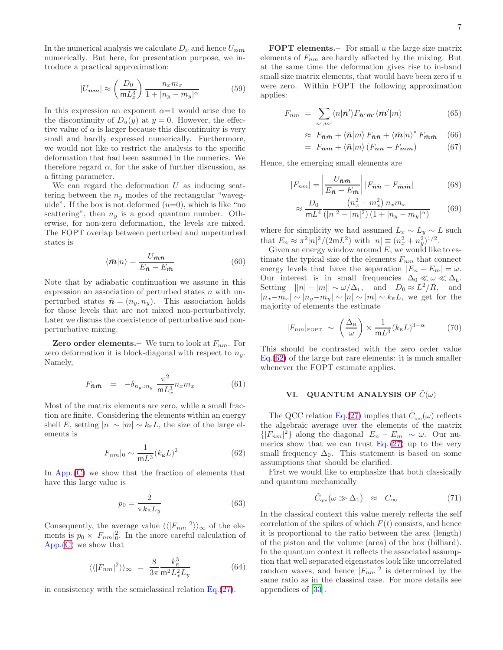In the numerical analysis we calculate  $D_{\nu}$  and hence  $U_{nm}$ numerically. But here, for presentation purpose, we introduce a practical approximation:

$$
|U_{nm}| \approx \left(\frac{D_0}{mL_x^3}\right) \frac{n_x m_x}{1 + |n_y - m_y|^{\alpha}} \tag{59}
$$

In this expression an exponent  $\alpha=1$  would arise due to the discontinuity of  $D_u(y)$  at  $y=0$ . However, the effective value of  $\alpha$  is larger because this discontinuity is very small and hardly expressed numerically. Furthermore, we would not like to restrict the analysis to the specific deformation that had been assumed in the numerics. We therefore regard  $\alpha$ , for the sake of further discussion, as a fitting parameter.

We can regard the deformation  $U$  as inducing scattering between the  $n_y$  modes of the rectangular "waveguide". If the box is not deformed  $(u=0)$ , which is like "no scattering", then  $n_y$  is a good quantum number. Otherwise, for non-zero deformation, the levels are mixed. The FOPT overlap between perturbed and unperturbed states is

$$
\langle \bar{m}|n\rangle = \frac{U_{\bar{m}\bar{n}}}{E_{\bar{n}} - E_{\bar{m}}}
$$
\n(60)

Note that by adiabatic continuation we assume in this expression an association of perturbed states  $n$  with unperturbed states  $\bar{\boldsymbol{n}} = (n_y, n_y)$ . This association holds for those levels that are not mixed non-perturbatively. Later we discuss the coexistence of perturbative and nonperturbative mixing.

**Zero order elements.** We turn to look at  $F_{nm}$ . For zero deformation it is block-diagonal with respect to  $n_y$ . Namely,

<span id="page-6-4"></span>
$$
F_{\bar{n}\bar{m}} = -\delta_{n_y,m_y} \frac{\pi^2}{m L_x^3} n_x m_x \tag{61}
$$

Most of the matrix elements are zero, while a small fraction are finite. Considering the elements within an energy shell E, setting  $|n| \sim |m| \sim k_{\rm E}L$ , the size of the large elements is

<span id="page-6-1"></span>
$$
|F_{nm}|_0 \sim \frac{1}{mL^3} (k_{\rm E} L)^2
$$
 (62)

In  $App.$  [\(C\)](#page-13-1) we show that the fraction of elements that have this large value is

$$
p_0 = \frac{2}{\pi k_{\rm E} L_y} \tag{63}
$$

Consequently, the average value  $\langle \langle |F_{nm}|^2 \rangle \rangle_{\infty}$  of the elements is  $p_0 \times |F_{nm}|_0^2$ . In the more careful calculation of App.[\(C\)](#page-13-1) we show that

$$
\langle \langle |F_{nm}|^2 \rangle \rangle_{\infty} = \frac{8}{3\pi} \frac{k_{\rm E}^3}{m^2 L_x^2 L_y} \tag{64}
$$

in consistency with the semiclassical relation  $Eq.(27)$  $Eq.(27)$ .

**FOPT** elements. For small  $u$  the large size matrix elements of  $F_{nm}$  are hardly affected by the mixing. But at the same time the deformation gives rise to in-band small size matrix elements, that would have been zero if  $u$ were zero. Within FOPT the following approximation applies:

$$
F_{nm} = \sum_{n',m'} \langle n|\bar{n}'\rangle F_{\bar{n}'\bar{m}'}\langle \bar{m}'|m\rangle \tag{65}
$$

$$
\approx F_{\bar{n}\bar{m}} + \langle \bar{n}|m\rangle F_{\bar{n}\bar{n}} + \langle \bar{m}|n\rangle^* F_{\bar{m}\bar{m}} \quad (66)
$$

$$
= F_{\bar{n}\bar{m}} + \langle \bar{n} | m \rangle (F_{\bar{n}\bar{n}} - F_{\bar{m}\bar{m}}) \tag{67}
$$

Hence, the emerging small elements are

$$
|F_{nm}| = \left| \frac{U_{\bar{n}\bar{m}}}{E_{\bar{n}} - E_{\bar{m}}} \right| |F_{\bar{n}\bar{n}} - F_{\bar{m}\bar{m}}| \tag{68}
$$

$$
\approx \frac{D_0}{m^2} \frac{\left(n_x^2 - m_x^2\right) n_x m_x}{\left(|n|^2 - |m|^2\right) \left(1 + |n_y - m_y|^\alpha\right)} \tag{69}
$$

where for simplicity we had assumed  $L_x \sim L_y \sim L$  such that  $E_n \approx \pi^2 |n|^2 / (2mL^2)$  with  $|n| \equiv (n_x^2 + n_y^2)^{1/2}$ .

Given an energy window around  $E$ , we would like to estimate the typical size of the elements  $F_{nm}$  that connect energy levels that have the separation  $|E_n - E_m| = \omega$ . Our interest is in small frequencies  $\Delta_0 \ll \omega \ll \Delta_L$ . Setting  $||n| - |m|| \sim \omega/\Delta_L$ , and  $D_0 \approx L^2/R$ , and  $|n_x-m_x| \sim |n_y-m_y| \sim |n| \sim |m| \sim k_E L$ , we get for the majority of elements the estimate

<span id="page-6-3"></span>
$$
|F_{nm}|_{\text{FOPT}} \sim \left(\frac{\Delta_{\text{R}}}{\omega}\right) \times \frac{1}{\text{m}L^3} (k_{\text{E}}L)^{3-\alpha} \tag{70}
$$

This should be contrasted with the zero order value Eq.[\(62\)](#page-6-1) of the large but rare elements: it is much smaller whenever the FOPT estimate applies.

### <span id="page-6-0"></span>VI. QUANTUM ANALYSIS OF  $\tilde{C}(\omega)$

The QCC relation Eq.[\(27\)](#page-3-1) implies that  $\tilde{C}_{qm}(\omega)$  reflects the algebraic average over the elements of the matrix  $\{|F_{nm}|^2\}$  along the diagonal  $|E_n - E_m| \sim \omega$ . Our numerics show that we can trust Eq.  $(27)$  up to the very small frequency  $\Delta_0$ . This statement is based on some assumptions that should be clarified.

First we would like to emphasize that both classically and quantum mechanically

<span id="page-6-2"></span>
$$
\tilde{C}_{\rm qm}(\omega \gg \Delta_{\rm L}) \approx C_{\infty} \tag{71}
$$

In the classical context this value merely reflects the self correlation of the spikes of which  $F(t)$  consists, and hence it is proportional to the ratio between the area (length) of the piston and the volume (area) of the box (billiard). In the quantum context it reflects the associated assumption that well separated eigenstates look like uncorrelated random waves, and hence  $|F_{nm}|^2$  is determined by the same ratio as in the classical case. For more details see appendices of [\[33\]](#page-14-15).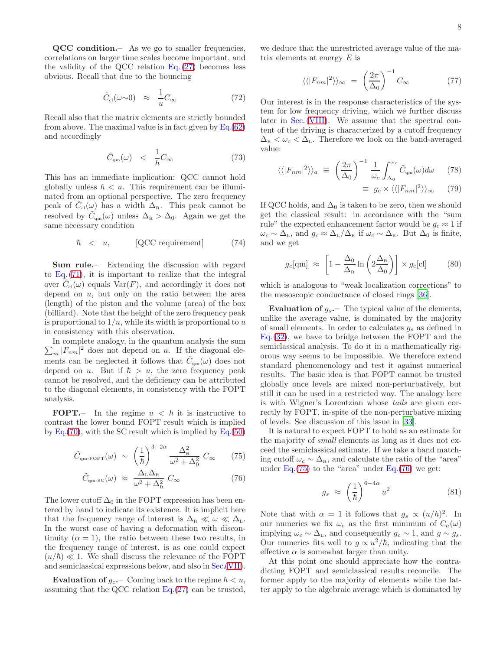QCC condition. As we go to smaller frequencies, correlations on larger time scales become important, and the validity of the QCC relation Eq. [\(27\)](#page-3-1) becomes less obvious. Recall that due to the bouncing

$$
\tilde{C}_{\text{cl}}(\omega \sim 0) \approx \frac{1}{u} C_{\infty} \tag{72}
$$

Recall also that the matrix elements are strictly bounded from above. The maximal value is in fact given by  $Eq.(62)$  $Eq.(62)$ and accordingly

$$
\tilde{C}_{\rm qm}(\omega) \quad < \quad \frac{1}{\hbar} C_{\infty} \tag{73}
$$

This has an immediate implication: QCC cannot hold globally unless  $\hbar < u$ . This requirement can be illuminated from an optional perspective. The zero frequency peak of  $\tilde{C}_{\text{cl}}(\omega)$  has a width  $\Delta_{\text{R}}$ . This peak cannot be resolved by  $\tilde{C}_{qm}(\omega)$  unless  $\Delta_{\rm R} > \Delta_0$ . Again we get the same necessary condition

<span id="page-7-1"></span>
$$
\hbar < u, \qquad \text{[QCC requirement]} \tag{74}
$$

Sum rule.– Extending the discussion with regard to  $Eq. (71)$  $Eq. (71)$ , it is important to realize that the integral over  $\tilde{C}_{\text{cl}}(\omega)$  equals  $\text{Var}(F)$ , and accordingly it does not depend on  $u$ , but only on the ratio between the area (length) of the piston and the volume (area) of the box (billiard). Note that the height of the zero frequency peak is proportional to  $1/u$ , while its width is proportional to u in consistency with this observation.

 $\sum_m |F_{nm}|^2$  does not depend on u. If the diagonal ele-In complete analogy, in the quantum analysis the sum ments can be neglected it follows that  $\tilde{C}_{\text{qm}}(\omega)$  does not depend on u. But if  $\hbar > u$ , the zero frequency peak cannot be resolved, and the deficiency can be attributed to the diagonal elements, in consistency with the FOPT analysis.

FOPT.– In the regime  $u < \hbar$  it is instructive to contrast the lower bound FOPT result which is implied by  $Eq.(70)$  $Eq.(70)$ , with the SC result which is implied by  $Eq.(50)$  $Eq.(50)$ 

<span id="page-7-0"></span>
$$
\tilde{C}_{\text{qm-FOPT}}(\omega) \sim \left(\frac{1}{\hbar}\right)^{3-2\alpha} \frac{\Delta_{\text{R}}^2}{\omega^2 + \Delta_0^2} C_{\infty} \qquad (75)
$$

$$
\tilde{C}_{\rm qm-SC}(\omega) \approx \frac{\Delta_{\rm L} \Delta_{\rm R}}{\omega^2 + \Delta_{\rm R}^2} C_{\infty}
$$
\n(76)

The lower cutoff  $\Delta_0$  in the FOPT expression has been entered by hand to indicate its existence. It is implicit here that the frequency range of interest is  $\Delta_{\rm R} \ll \omega \ll \Delta_{\rm L}$ . In the worst case of having a deformation with discontinuity  $(\alpha = 1)$ , the ratio between these two results, in the frequency range of interest, is as one could expect  $(u/\hbar) \ll 1$ . We shall discuss the relevance of the FOPT and semiclassical expressions below, and also in Sec.[\(VII\)](#page-8-0).

**Evaluation of**  $g_c$  – Coming back to the regime  $\hbar < u$ , assuming that the QCC relation  $Eq.(27)$  $Eq.(27)$  can be trusted, we deduce that the unrestricted average value of the matrix elements at energy  $E$  is

$$
\langle \langle |F_{nm}|^2 \rangle \rangle_{\infty} = \left(\frac{2\pi}{\Delta_0}\right)^{-1} C_{\infty} \tag{77}
$$

Our interest is in the response characteristics of the system for low frequency driving, which we further discuss later in Sec. [\(VIII\)](#page-9-1). We assume that the spectral content of the driving is characterized by a cutoff frequency  $\Delta_{\rm R} < \omega_c < \Delta_{\rm L}$ . Therefore we look on the band-averaged value:

$$
\langle \langle |F_{nm}|^2 \rangle \rangle_a \equiv \left(\frac{2\pi}{\Delta_0}\right)^{-1} \frac{1}{\omega_c} \int_{\Delta_0}^{\omega_c} \tilde{C}_{\rm qm}(\omega) d\omega \qquad (78)
$$

$$
\equiv g_c \times \langle \langle |F_{nm}|^2 \rangle \rangle_{\infty} \qquad (79)
$$

If QCC holds, and  $\Delta_0$  is taken to be zero, then we should get the classical result: in accordance with the "sum rule" the expected enhancement factor would be  $g_c \approx 1$  if  $\omega_c \sim \Delta_{\rm L}$ , and  $g_c \approx \Delta_{\rm L}/\Delta_{\rm R}$  if  $\omega_c \sim \Delta_{\rm R}$ . But  $\Delta_0$  is finite, and we get

<span id="page-7-2"></span>
$$
g_c[\text{qm}] \approx \left[1 - \frac{\Delta_0}{\Delta_{\text{R}}} \ln\left(2\frac{\Delta_{\text{R}}}{\Delta_0}\right)\right] \times g_c[\text{cl}] \tag{80}
$$

which is analogous to "weak localization corrections" to the mesoscopic conductance of closed rings [\[36](#page-14-19)].

**Evaluation of**  $g_s$ . The typical value of the elements, unlike the average value, is dominated by the majority of small elements. In order to calculates  $g_s$  as defined in Eq.[\(32\)](#page-3-2), we have to bridge between the FOPT and the semiclassical analysis. To do it in a mathematically rigorous way seems to be impossible. We therefore extend standard phenomenology and test it against numerical results. The basic idea is that FOPT cannot be trusted globally once levels are mixed non-perturbatively, but still it can be used in a restricted way. The analogy here is with Wigner's Lorentzian whose tails are given correctly by FOPT, in-spite of the non-perturbative mixing of levels. See discussion of this issue in [\[33](#page-14-15)].

It is natural to expect FOPT to hold as an estimate for the majority of small elements as long as it does not exceed the semiclassical estimate. If we take a band matching cutoff  $\omega_c \sim \Delta_{\rm R}$ , and calculate the ratio of the "area" under  $Eq.(75)$  $Eq.(75)$  to the "area" under  $Eq.(76)$  $Eq.(76)$  we get:

$$
g_s \approx \left(\frac{1}{\hbar}\right)^{6-4\alpha} u^2 \tag{81}
$$

Note that with  $\alpha = 1$  it follows that  $g_s \propto (u/\hbar)^2$ . In our numerics we fix  $\omega_c$  as the first minimum of  $C_a(\omega)$ implying  $\omega_c \sim \Delta_{\rm L}$ , and consequently  $g_c \sim 1$ , and  $g \sim g_s$ . Our numerics fits well to  $g \propto u^2/\hbar$ , indicating that the effective  $\alpha$  is somewhat larger than unity.

At this point one should appreciate how the contradicting FOPT and semiclassical results reconcile. The former apply to the majority of elements while the latter apply to the algebraic average which is dominated by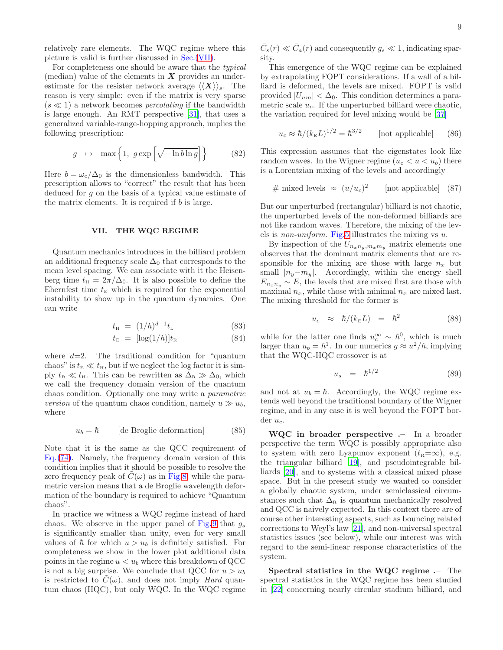relatively rare elements. The WQC regime where this picture is valid is further discussed in Sec.[\(VII\)](#page-8-0).

For completeness one should be aware that the typical (median) value of the elements in  $X$  provides an underestimate for the resister network average  $\langle \langle X \rangle \rangle_s$ . The reason is very simple: even if the matrix is very sparse  $(s \ll 1)$  a network becomes *percolating* if the bandwidth is large enough. An RMT perspective [\[31](#page-14-13)], that uses a generalized variable-range-hopping approach, implies the following prescription:

$$
g \mapsto \max\left\{1, g \exp\left[\sqrt{-\ln b \ln g}\right]\right\} \tag{82}
$$

Here  $b = \omega_c/\Delta_0$  is the dimensionless bandwidth. This prescription allows to "correct" the result that has been deduced for g on the basis of a typical value estimate of the matrix elements. It is required if  $b$  is large.

### <span id="page-8-0"></span>VII. THE WQC REGIME

Quantum mechanics introduces in the billiard problem an additional frequency scale  $\Delta_0$  that corresponds to the mean level spacing. We can associate with it the Heisenberg time  $t_{\rm H} = 2\pi/\Delta_0$ . It is also possible to define the Ehernfest time  $t_{\rm E}$  which is required for the exponential instability to show up in the quantum dynamics. One can write

$$
t_{\rm H} = (1/\hbar)^{d-1} t_{\rm L} \tag{83}
$$

$$
t_{\rm E} = [\log(1/\hbar)]t_{\rm R} \tag{84}
$$

where  $d=2$ . The traditional condition for "quantum" chaos" is  $t_{\text{E}} \ll t_{\text{H}}$ , but if we neglect the log factor it is simply  $t_{\rm R} \ll t_{\rm H}$ . This can be rewritten as  $\Delta_{\rm R} \gg \Delta_0$ , which we call the frequency domain version of the quantum chaos condition. Optionally one may write a parametric version of the quantum chaos condition, namely  $u \gg u_b$ , where

$$
u_b = \hbar \qquad [de Broglie deformation] \qquad (85)
$$

Note that it is the same as the QCC requirement of Eq.[\(74\)](#page-7-1). Namely, the frequency domain version of this condition implies that it should be possible to resolve the zero frequency peak of  $C(\omega)$  as in Fig[.8,](#page-16-2) while the parametric version means that a de Broglie wavelength deformation of the boundary is required to achieve "Quantum chaos".

In practice we witness a WQC regime instead of hard chaos. We observe in the upper panel of Fig.[9](#page-17-0) that  $g_s$ is significantly smaller than unity, even for very small values of  $\hbar$  for which  $u > u_b$  is definitely satisfied. For completeness we show in the lower plot additional data points in the regime  $u < u_b$  where this breakdown of QCC is not a big surprise. We conclude that QCC for  $u > u_b$ is restricted to  $C(\omega)$ , and does not imply Hard quantum chaos (HQC), but only WQC. In the WQC regime

 $\bar{C}_s(r) \ll \bar{C}_a(r)$  and consequently  $g_s \ll 1$ , indicating sparsity.

This emergence of the WQC regime can be explained by extrapolating FOPT considerations. If a wall of a billiard is deformed, the levels are mixed. FOPT is valid provided  $|U_{nm}| < \Delta_0$ . This condition determines a parametric scale  $u_c$ . If the unperturbed billiard were chaotic, the variation required for level mixing would be [\[37](#page-14-20)]

$$
u_c \approx \hbar / (k_{\rm E} L)^{1/2} = \hbar^{3/2} \qquad \text{[not applicable]} \qquad (86)
$$

This expression assumes that the eigenstates look like random waves. In the Wigner regime  $(u_c < u < u_b)$  there is a Lorentzian mixing of the levels and accordingly

# mixed levels 
$$
\approx (u/u_c)^2
$$
 [not applicable] (87)

But our unperturbed (rectangular) billiard is not chaotic, the unperturbed levels of the non-deformed billiards are not like random waves. Therefore, the mixing of the levels is *non-uniform*. Fig[.5](#page-15-4) illustrates the mixing vs  $u$ .

By inspection of the  $U_{n_xn_y,m_xm_y}$  matrix elements one observes that the dominant matrix elements that are responsible for the mixing are those with large  $n_x$  but small  $|n_y-m_y|$ . Accordingly, within the energy shell  $E_{n_xn_y} \sim E$ , the levels that are mixed first are those with maximal  $n_x$ , while those with minimal  $n_x$  are mixed last. The mixing threshold for the former is

$$
u_c \approx \hbar/(k_{\rm E}L) = \hbar^2 \tag{88}
$$

while for the latter one finds  $u_c^{\infty} \sim \hbar^0$ , which is much larger than  $u_b = \hbar^1$ . In our numerics  $g \approx u^2/\hbar$ , implying that the WQC-HQC crossover is at

<span id="page-8-1"></span>
$$
u_s = \hbar^{1/2} \tag{89}
$$

and not at  $u_b = \hbar$ . Accordingly, the WQC regime extends well beyond the traditional boundary of the Wigner regime, and in any case it is well beyond the FOPT border  $u_c$ .

WQC in broader perspective .– In a broader perspective the term WQC is possibly appropriate also to system with zero Lyapunov exponent  $(t_R=\infty)$ , e.g. the triangular billiard [\[19](#page-14-21)], and pseudointegrable billiards [\[20](#page-14-22)], and to systems with a classical mixed phase space. But in the present study we wanted to consider a globally chaotic system, under semiclassical circumstances such that  $\Delta_{\rm R}$  is quantum mechanically resolved and QCC is naively expected. In this context there are of course other interesting aspects, such as bouncing related corrections to Weyl's law [\[21\]](#page-14-23), and non-universal spectral statistics issues (see below), while our interest was with regard to the semi-linear response characteristics of the system.

Spectral statistics in the WQC regime .– The spectral statistics in the WQC regime has been studied in [\[22](#page-14-24)] concerning nearly circular stadium billiard, and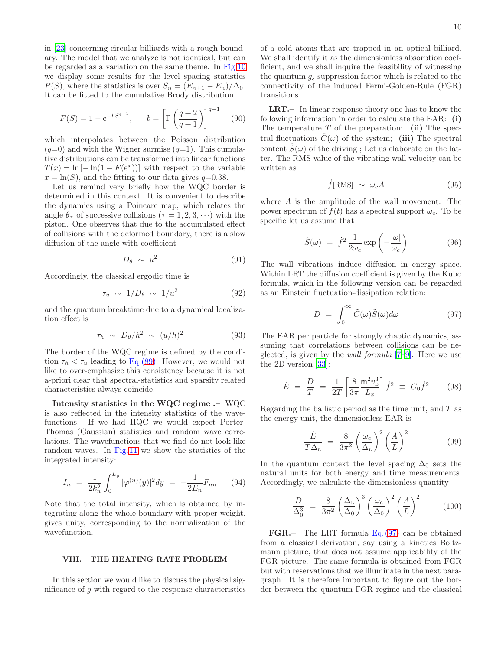in [\[23](#page-14-25)] concerning circular billiards with a rough boundary. The model that we analyze is not identical, but can be regarded as a variation on the same theme. In Fig[.10](#page-17-1) we display some results for the level spacing statistics  $P(S)$ , where the statistics is over  $S_n = (E_{n+1} - E_n)/\Delta_0$ . It can be fitted to the cumulative Brody distribution

$$
F(S) = 1 - e^{-bS^{q+1}}, \qquad b = \left[ \Gamma \left( \frac{q+2}{q+1} \right) \right]^{q+1} \tag{90}
$$

which interpolates between the Poisson distribution  $(q=0)$  and with the Wigner surmise  $(q=1)$ . This cumulative distributions can be transformed into linear functions  $T(x) = \ln[-\ln(1 - F(e^x))]$  with respect to the variable  $x = \ln(S)$ , and the fitting to our data gives  $q=0.38$ .

Let us remind very briefly how the WQC border is determined in this context. It is convenient to describe the dynamics using a Poincare map, which relates the angle  $\theta_{\tau}$  of successive collisions  $(\tau = 1, 2, 3, \cdots)$  with the piston. One observes that due to the accumulated effect of collisions with the deformed boundary, there is a slow diffusion of the angle with coefficient

$$
D_{\theta} \sim u^2 \tag{91}
$$

Accordingly, the classical ergodic time is

$$
\tau_u \sim 1/D_\theta \sim 1/u^2 \tag{92}
$$

and the quantum breaktime due to a dynamical localization effect is

$$
\tau_h \sim D_\theta/\hbar^2 \sim (u/h)^2 \tag{93}
$$

The border of the WQC regime is defined by the condition  $\tau_h < \tau_u$  leading to Eq.[\(89\)](#page-8-1). However, we would not like to over-emphasize this consistency because it is not a-priori clear that spectral-statistics and sparsity related characteristics always coincide.

Intensity statistics in the WQC regime .– WQC is also reflected in the intensity statistics of the wavefunctions. If we had HQC we would expect Porter-Thomas (Gaussian) statistics and random wave correlations. The wavefunctions that we find do not look like random waves. In Fig[.11](#page-17-2) we show the statistics of the integrated intensity:

<span id="page-9-5"></span>
$$
I_n = \frac{1}{2k_n^2} \int_0^{L_y} |\varphi^{(n)}(y)|^2 dy = -\frac{1}{2E_n} F_{nn} \qquad (94)
$$

Note that the total intensity, which is obtained by integrating along the whole boundary with proper weight, gives unity, corresponding to the normalization of the wavefunction.

### <span id="page-9-1"></span>VIII. THE HEATING RATE PROBLEM

In this section we would like to discuss the physical significance of g with regard to the response characteristics of a cold atoms that are trapped in an optical billiard. We shall identify it as the dimensionless absorption coefficient, and we shall inquire the feasibility of witnessing the quantum  $g_s$  suppression factor which is related to the connectivity of the induced Fermi-Golden-Rule (FGR) transitions.

LRT.– In linear response theory one has to know the following information in order to calculate the EAR: (i) The temperature  $T$  of the preparation; (ii) The spectral fluctuations  $\hat{C}(\omega)$  of the system; (iii) The spectral content  $\tilde{S}(\omega)$  of the driving; Let us elaborate on the latter. The RMS value of the vibrating wall velocity can be written as

$$
\dot{f}[\text{RMS}] \sim \omega_c A \tag{95}
$$

where A is the amplitude of the wall movement. The power spectrum of  $f(t)$  has a spectral support  $\omega_c$ . To be specific let us assume that

<span id="page-9-4"></span>
$$
\tilde{S}(\omega) = \dot{f}^2 \frac{1}{2\omega_c} \exp\left(-\frac{|\omega|}{\omega_c}\right) \tag{96}
$$

The wall vibrations induce diffusion in energy space. Within LRT the diffusion coefficient is given by the Kubo formula, which in the following version can be regarded as an Einstein fluctuation-dissipation relation:

<span id="page-9-2"></span>
$$
D = \int_0^\infty \tilde{C}(\omega)\tilde{S}(\omega)d\omega \tag{97}
$$

The EAR per particle for strongly chaotic dynamics, assuming that correlations between collisions can be neglected, is given by the *wall formula*  $[7-9]$  $[7-9]$ . Here we use the 2D version [\[33\]](#page-14-15):

<span id="page-9-0"></span>
$$
\dot{E} = \frac{D}{T} = \frac{1}{2T} \left[ \frac{8}{3\pi} \frac{\mathrm{m}^2 v_{\mathrm{E}}^3}{L_x} \right] \dot{f}^2 \equiv G_0 \dot{f}^2 \qquad (98)
$$

Regarding the ballistic period as the time unit, and T as the energy unit, the dimensionless EAR is

<span id="page-9-3"></span>
$$
\frac{\dot{E}}{T\Delta_{\rm L}} = \frac{8}{3\pi^2} \left(\frac{\omega_c}{\Delta_{\rm L}}\right)^2 \left(\frac{A}{L}\right)^2 \tag{99}
$$

In the quantum context the level spacing  $\Delta_0$  sets the natural units for both energy and time measurements. Accordingly, we calculate the dimensionless quantity

$$
\frac{D}{\Delta_0^3} = \frac{8}{3\pi^2} \left(\frac{\Delta_{\rm L}}{\Delta_0}\right)^3 \left(\frac{\omega_c}{\Delta_0}\right)^2 \left(\frac{A}{L}\right)^2 \tag{100}
$$

FGR.– The LRT formula Eq.[\(97\)](#page-9-2) can be obtained from a classical derivation, say using a kinetics Boltzmann picture, that does not assume applicability of the FGR picture. The same formula is obtained from FGR but with reservations that we illuminate in the next paragraph. It is therefore important to figure out the border between the quantum FGR regime and the classical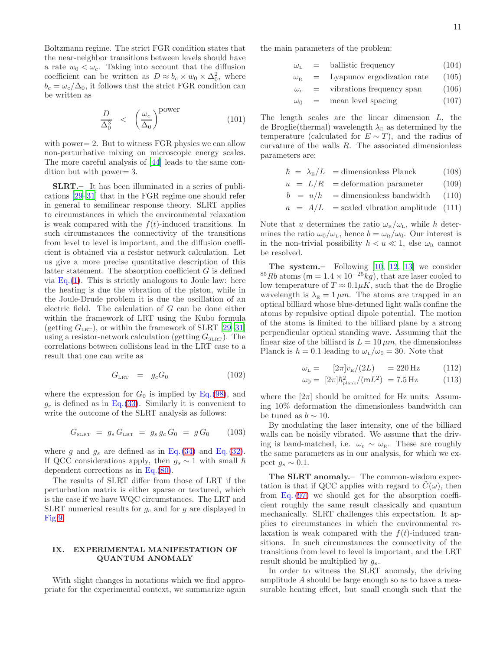Boltzmann regime. The strict FGR condition states that the near-neighbor transitions between levels should have a rate  $w_0 < \omega_c$ . Taking into account that the diffusion coefficient can be written as  $D \approx b_c \times w_0 \times \Delta_0^2$ , where  $b_c = \omega_c/\Delta_0$ , it follows that the strict FGR condition can be written as

<span id="page-10-1"></span>
$$
\frac{D}{\Delta_0^3} \quad < \quad \left(\frac{\omega_c}{\Delta_0}\right)^{\text{power}} \tag{101}
$$

with power = 2. But to witness FGR physics we can allow non-perturbative mixing on microscopic energy scales. The more careful analysis of [\[44\]](#page-14-26) leads to the same condition but with power= 3.

SLRT.– It has been illuminated in a series of publications [\[29](#page-14-12)[–31\]](#page-14-13) that in the FGR regime one should refer in general to semilinear response theory. SLRT applies to circumstances in which the environmental relaxation is weak compared with the  $f(t)$ -induced transitions. In such circumstances the connectivity of the transitions from level to level is important, and the diffusion coefficient is obtained via a resistor network calculation. Let us give a more precise quantitative description of this latter statement. The absorption coefficient  $G$  is defined via  $Eq.(1)$  $Eq.(1)$ . This is strictly analogous to Joule law: here the heating is due the vibration of the piston, while in the Joule-Drude problem it is due the oscillation of an electric field. The calculation of G can be done either within the framework of LRT using the Kubo formula (getting  $G_{LRT}$ ), or within the framework of SLRT [\[29](#page-14-12)[–31\]](#page-14-13) using a resistor-network calculation (getting  $G_{SLRT}$ ). The correlations between collisions lead in the LRT case to a result that one can write as

$$
G_{LRT} = g_c G_0 \tag{102}
$$

where the expression for  $G_0$  is implied by Eq.[\(98\)](#page-9-0), and  $g_c$  is defined as in Eq.[\(33\)](#page-4-5). Similarly it is convenient to write the outcome of the SLRT analysis as follows:

$$
G_{\text{SLRT}} = g_s G_{\text{LRT}} = g_s g_c G_0 = g G_0 \qquad (103)
$$

where g and  $g_s$  are defined as in Eq.[\(34\)](#page-4-5) and Eq.[\(32\)](#page-3-2). If QCC considerations apply, then  $g_s \sim 1$  with small  $\hbar$ dependent corrections as in Eq.[\(80\)](#page-7-2).

The results of SLRT differ from those of LRT if the perturbation matrix is either sparse or textured, which is the case if we have WQC circumstances. The LRT and SLRT numerical results for  $g_c$  and for g are displayed in Fig[.9.](#page-17-0)

## <span id="page-10-0"></span>IX. EXPERIMENTAL MANIFESTATION OF QUANTUM ANOMALY

With slight changes in notations which we find appropriate for the experimental context, we summarize again the main parameters of the problem:

- $\omega_L$  = ballistic frequency (104)
- $\omega_{\rm R}$  = Lyapunov ergodization rate (105)
- $\omega_c$  = vibrations frequency span (106)
- $\omega_0$  = mean level spacing (107)

The length scales are the linear dimension L, the de Broglie(thermal) wavelength  $\lambda_{\rm E}$  as determined by the temperature (calculated for  $E \sim T$ ), and the radius of curvature of the walls R. The associated dimensionless parameters are:

$$
\hbar = \lambda_{\rm E}/L = \text{dimensionless Planck} \tag{108}
$$

- $u = L/R$  = deformation parameter (109)
- $b = u/h$  = dimensionless bandwidth (110)
- $a = A/L$  = scaled vibration amplitude (111)

Note that u determines the ratio  $\omega_{\rm R}/\omega_{\rm L}$ , while h determines the ratio  $\omega_0/\omega_L$ , hence  $b = \omega_R/\omega_0$ . Our interest is in the non-trivial possibility  $h < u \ll 1$ , else  $\omega_{\text{R}}$  cannot be resolved.

The system.– Following [\[10](#page-14-4), [12](#page-14-27), [13](#page-14-28)] we consider <sup>85</sup>Rb atoms (m =  $1.4 \times 10^{-25}$ kg), that are laser cooled to low temperature of  $T \approx 0.1 \mu K$ , such that the de Broglie wavelength is  $\lambda_{\rm E} = 1 \,\mu m$ . The atoms are trapped in an optical billiard whose blue-detuned light walls confine the atoms by repulsive optical dipole potential. The motion of the atoms is limited to the billiard plane by a strong perpendicular optical standing wave. Assuming that the linear size of the billiard is  $L = 10 \mu m$ , the dimensionless Planck is  $\hbar = 0.1$  leading to  $\omega_{\text{L}}/\omega_0 = 30$ . Note that

$$
\omega_{\rm L} = \left[2\pi \left|v_{\rm E}/(2L)\right| \right] = 220 \,\text{Hz} \tag{112}
$$

$$
\omega_0 = [2\pi] \hbar_{\text{plank}}^2 / (\text{m}L^2) = 7.5 \,\text{Hz} \tag{113}
$$

where the  $[2\pi]$  should be omitted for Hz units. Assuming 10% deformation the dimensionless bandwidth can be tuned as  $b \sim 10$ .

By modulating the laser intensity, one of the billiard walls can be noisily vibrated. We assume that the driving is band-matched, i.e.  $\omega_c \sim \omega_R$ . These are roughly the same parameters as in our analysis, for which we expect  $g_s \sim 0.1$ .

The SLRT anomaly.– The common-wisdom expectation is that if QCC applies with regard to  $C(\omega)$ , then from Eq. [\(97\)](#page-9-2) we should get for the absorption coefficient roughly the same result classically and quantum mechanically. SLRT challenges this expectation. It applies to circumstances in which the environmental relaxation is weak compared with the  $f(t)$ -induced transitions. In such circumstances the connectivity of the transitions from level to level is important, and the LRT result should be multiplied by  $q_s$ .

In order to witness the SLRT anomaly, the driving amplitude A should be large enough so as to have a measurable heating effect, but small enough such that the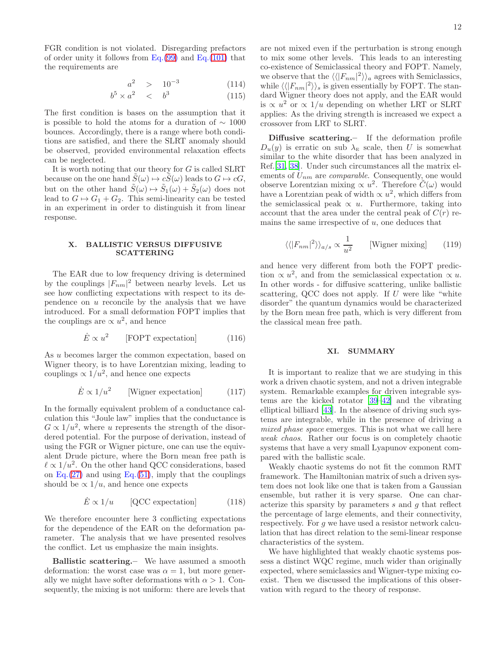12

FGR condition is not violated. Disregarding prefactors of order unity it follows from Eq. $(99)$  and Eq. $(101)$  that the requirements are

$$
a^2 \quad > \quad 10^{-3} \tag{114}
$$

$$
b^5 \times a^2 \quad < \quad b^3 \tag{115}
$$

The first condition is bases on the assumption that it is possible to hold the atoms for a duration of  $\sim 1000$ bounces. Accordingly, there is a range where both conditions are satisfied, and there the SLRT anomaly should be observed, provided environmental relaxation effects can be neglected.

It is worth noting that our theory for G is called SLRT because on the one hand  $\tilde{S}(\omega) \mapsto c\tilde{S}(\omega)$  leads to  $G \mapsto cG$ , but on the other hand  $\tilde{S}(\omega) \mapsto \tilde{S}_1(\omega) + \tilde{S}_2(\omega)$  does not lead to  $G \mapsto G_1 + G_2$ . This semi-linearity can be tested in an experiment in order to distinguish it from linear response.

#### <span id="page-11-0"></span>X. BALLISTIC VERSUS DIFFUSIVE SCATTERING

The EAR due to low frequency driving is determined by the couplings  $|F_{nm}|^2$  between nearby levels. Let us see how conflicting expectations with respect to its dependence on  $u$  reconcile by the analysis that we have introduced. For a small deformation FOPT implies that the couplings are  $\propto u^2$ , and hence

$$
\dot{E} \propto u^2
$$
 [FOPT expectation] (116)

As u becomes larger the common expectation, based on Wigner theory, is to have Lorentzian mixing, leading to couplings  $\propto 1/u^2$ , and hence one expects

$$
\dot{E} \propto 1/u^2
$$
 [Wigner expectation] (117)

In the formally equivalent problem of a conductance calculation this "Joule law" implies that the conductance is  $G \propto 1/u^2$ , where u represents the strength of the disordered potential. For the purpose of derivation, instead of using the FGR or Wigner picture, one can use the equivalent Drude picture, where the Born mean free path is  $\ell \propto 1/u^2$ . On the other hand QCC considerations, based on Eq.[\(27\)](#page-3-1) and using Eq.[\(51\)](#page-5-2), imply that the couplings should be  $\propto 1/u$ , and hence one expects

$$
\dot{E} \propto 1/u \qquad [\text{QCC expectation}] \tag{118}
$$

We therefore encounter here 3 conflicting expectations for the dependence of the EAR on the deformation parameter. The analysis that we have presented resolves the conflict. Let us emphasize the main insights.

Ballistic scattering.– We have assumed a smooth deformation: the worst case was  $\alpha = 1$ , but more generally we might have softer deformations with  $\alpha > 1$ . Consequently, the mixing is not uniform: there are levels that

are not mixed even if the perturbation is strong enough to mix some other levels. This leads to an interesting co-existence of Semiclassical theory and FOPT. Namely, we observe that the  $\langle \langle |F_{nm}|^2 \rangle \rangle_a$  agrees with Semiclassics, while  $\langle \langle |F_{nm}|^2 \rangle \rangle_s$  is given essentially by FOPT. The standard Wigner theory does not apply, and the EAR would is  $\propto u^2$  or  $\propto 1/u$  depending on whether LRT or SLRT applies: As the driving strength is increased we expect a crossover from LRT to SLRT.

Diffusive scattering.– If the deformation profile  $D_u(y)$  is erratic on sub  $\lambda_{\rm E}$  scale, then U is somewhat similar to the white disorder that has been analyzed in Ref.[\[31](#page-14-13), [38](#page-14-29)]. Under such circumstances all the matrix elements of  $U_{nm}$  are *comparable*. Consequently, one would observe Lorentzian mixing  $\propto u^2$ . Therefore  $\tilde{C}(\omega)$  would have a Lorentzian peak of width  $\propto u^2$ , which differs from the semiclassical peak  $\propto u$ . Furthermore, taking into account that the area under the central peak of  $C(r)$  remains the same irrespective of  $u$ , one deduces that

$$
\langle \langle |F_{nm}|^2 \rangle \rangle_{a/s} \propto \frac{1}{u^2} \qquad \text{[Wigner mixing]} \tag{119}
$$

and hence very different from both the FOPT prediction  $\propto u^2$ , and from the semiclassical expectation  $\propto u$ . In other words - for diffusive scattering, unlike ballistic scattering, QCC does not apply. If  $U$  were like "white disorder" the quantum dynamics would be characterized by the Born mean free path, which is very different from the classical mean free path.

### XI. SUMMARY

It is important to realize that we are studying in this work a driven chaotic system, and not a driven integrable system. Remarkable examples for driven integrable systems are the kicked rotator [\[39](#page-14-30)[–42\]](#page-14-31) and the vibrating elliptical billiard [\[43\]](#page-14-32). In the absence of driving such systems are integrable, while in the presence of driving a mixed phase space emerges. This is not what we call here weak chaos. Rather our focus is on completely chaotic systems that have a very small Lyapunov exponent compared with the ballistic scale.

Weakly chaotic systems do not fit the common RMT framework. The Hamiltonian matrix of such a driven system does not look like one that is taken from a Gaussian ensemble, but rather it is very sparse. One can characterize this sparsity by parameters s and g that reflect the percentage of large elements, and their connectivity, respectively. For g we have used a resistor network calculation that has direct relation to the semi-linear response characteristics of the system.

We have highlighted that weakly chaotic systems possess a distinct WQC regime, much wider than originally expected, where semiclassics and Wigner-type mixing coexist. Then we discussed the implications of this observation with regard to the theory of response.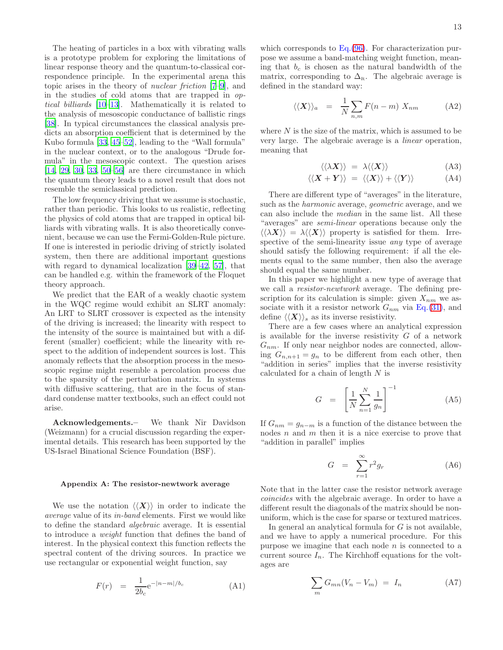The heating of particles in a box with vibrating walls is a prototype problem for exploring the limitations of linear response theory and the quantum-to-classical correspondence principle. In the experimental arena this topic arises in the theory of nuclear friction [\[7](#page-14-2)[–9\]](#page-14-3), and in the studies of cold atoms that are trapped in optical billiards [\[10](#page-14-4)[–13\]](#page-14-28). Mathematically it is related to the analysis of mesoscopic conductance of ballistic rings [\[38\]](#page-14-29). In typical circumstances the classical analysis predicts an absorption coefficient that is determined by the Kubo formula [\[33](#page-14-15), [45](#page-14-33)[–52](#page-14-34)], leading to the "Wall formula" in the nuclear context, or to the analogous "Drude formula" in the mesoscopic context. The question arises  $[14, 29, 30, 33, 50–56]$  $[14, 29, 30, 33, 50–56]$  $[14, 29, 30, 33, 50–56]$  $[14, 29, 30, 33, 50–56]$  $[14, 29, 30, 33, 50–56]$  $[14, 29, 30, 33, 50–56]$  are there circumstance in which the quantum theory leads to a novel result that does not resemble the semiclassical prediction.

The low frequency driving that we assume is stochastic, rather than periodic. This looks to us realistic, reflecting the physics of cold atoms that are trapped in optical billiards with vibrating walls. It is also theoretically convenient, because we can use the Fermi-Golden-Rule picture. If one is interested in periodic driving of strictly isolated system, then there are additional important questions with regard to dynamical localization [\[39](#page-14-30)[–42,](#page-14-31) [57\]](#page-14-38), that can be handled e.g. within the framework of the Floquet theory approach.

We predict that the EAR of a weakly chaotic system in the WQC regime would exhibit an SLRT anomaly: An LRT to SLRT crossover is expected as the intensity of the driving is increased; the linearity with respect to the intensity of the source is maintained but with a different (smaller) coefficient; while the linearity with respect to the addition of independent sources is lost. This anomaly reflects that the absorption process in the mesoscopic regime might resemble a percolation process due to the sparsity of the perturbation matrix. In systems with diffusive scattering, that are in the focus of standard condense matter textbooks, such an effect could not arise.

Acknowledgements.– We thank Nir Davidson (Weizmann) for a crucial discussion regarding the experimental details. This research has been supported by the US-Israel Binational Science Foundation (BSF).

#### <span id="page-12-0"></span>Appendix A: The resistor-newtwork average

We use the notation  $\langle \langle X \rangle \rangle$  in order to indicate the average value of its in-band elements. First we would like to define the standard algebraic average. It is essential to introduce a weight function that defines the band of interest. In the physical context this function reflects the spectral content of the driving sources. In practice we use rectangular or exponential weight function, say

$$
F(r) = \frac{1}{2b_c} e^{-|n-m|/b_c}
$$
 (A1)

which corresponds to Eq.  $(96)$ . For characterization purpose we assume a band-matching weight function, meaning that  $b_c$  is chosen as the natural bandwidth of the matrix, corresponding to  $\Delta_{\rm R}$ . The algebraic average is defined in the standard way:

$$
\langle \langle X \rangle \rangle_a = \frac{1}{N} \sum_{n,m} F(n-m) X_{nm} \tag{A2}
$$

where  $N$  is the size of the matrix, which is assumed to be very large. The algebraic average is a linear operation, meaning that

$$
\langle \langle \lambda \mathbf{X} \rangle \rangle = \lambda \langle \langle \mathbf{X} \rangle \rangle \tag{A3}
$$

$$
\langle \langle \mathbf{X} + \mathbf{Y} \rangle \rangle = \langle \langle \mathbf{X} \rangle \rangle + \langle \langle \mathbf{Y} \rangle \rangle \tag{A4}
$$

There are different type of "averages" in the literature, such as the harmonic average, geometric average, and we can also include the median in the same list. All these "averages" are semi-linear operations because only the  $\langle \langle \lambda X \rangle \rangle = \lambda \langle \langle X \rangle \rangle$  property is satisfied for them. Irrespective of the semi-linearity issue any type of average should satisfy the following requirement: if all the elements equal to the same number, then also the average should equal the same number.

In this paper we highlight a new type of average that we call a resistor-newtwork average. The defining prescription for its calculation is simple: given  $X_{nm}$  we associate with it a resistor network  $G_{nm}$  via Eq.[\(31\)](#page-3-3), and define  $\langle \langle X \rangle \rangle_s$  as its inverse resistivity.

There are a few cases where an analytical expression is available for the inverse resistivity  $G$  of a network  $G_{nm}$ . If only near neighbor nodes are connected, allowing  $G_{n,n+1} = g_n$  to be different from each other, then "addition in series" implies that the inverse resistivity calculated for a chain of length  $N$  is

$$
G = \left[\frac{1}{N} \sum_{n=1}^{N} \frac{1}{g_n}\right]^{-1} \tag{A5}
$$

If  $G_{nm} = g_{n-m}$  is a function of the distance between the nodes  $n$  and  $m$  then it is a nice exercise to prove that "addition in parallel" implies

$$
G = \sum_{r=1}^{\infty} r^2 g_r \tag{A6}
$$

Note that in the latter case the resistor network average coincides with the algebraic average. In order to have a different result the diagonals of the matrix should be nonuniform, which is the case for sparse or textured matrices.

In general an analytical formula for  $G$  is not available, and we have to apply a numerical procedure. For this purpose we imagine that each node  $n$  is connected to a current source  $I_n$ . The Kirchhoff equations for the voltages are

$$
\sum_{m} G_{mn}(V_n - V_m) = I_n \tag{A7}
$$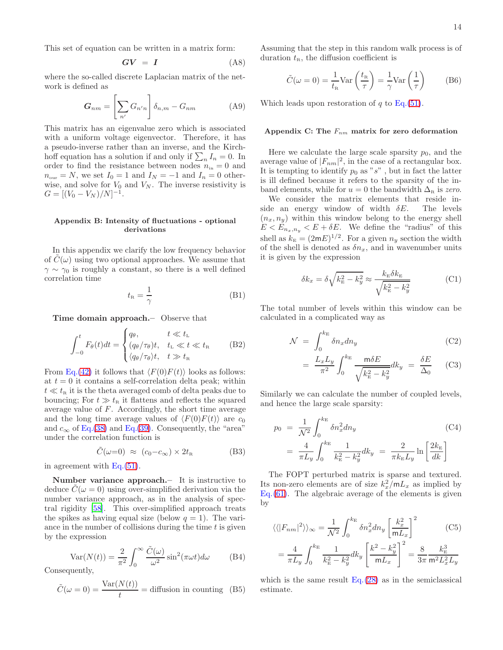This set of equation can be written in a matrix form:

$$
GV = I \tag{A8}
$$

where the so-called discrete Laplacian matrix of the network is defined as

$$
G_{nm} = \left[\sum_{n'} G_{n'n}\right] \delta_{n,m} - G_{nm} \tag{A9}
$$

This matrix has an eigenvalue zero which is associated with a uniform voltage eigenvector. Therefore, it has a pseudo-inverse rather than an inverse, and the Kirchhoff equation has a solution if and only if  $\sum_n I_n = 0$ . In order to find the resistance between nodes  $n_{\rm in} = 0$  and  $n_{\text{our}} = N$ , we set  $I_0 = 1$  and  $I_N = -1$  and  $I_n = 0$  otherwise, and solve for  $V_0$  and  $V_N$ . The inverse resistivity is  $G = [(V_0 - V_N)/N]^{-1}.$ 

# <span id="page-13-0"></span>Appendix B: Intensity of fluctuations - optional derivations

In this appendix we clarify the low frequency behavior of  $C(\omega)$  using two optional approaches. We assume that  $\gamma \sim \gamma_0$  is roughly a constant, so there is a well defined correlation time

$$
t_{\rm R} = \frac{1}{\gamma} \tag{B1}
$$

Time domain approach.– Observe that

$$
\int_{-0}^{t} F_{\theta}(t)dt = \begin{cases} q_{\theta}, & t \ll t_{\text{L}} \\ (q_{\theta}/\tau_{\theta})t, & t_{\text{L}} \ll t \ll t_{\text{R}} \\ \langle q_{\theta}/\tau_{\theta} \rangle t, & t \gg t_{\text{R}} \end{cases}
$$
 (B2)

From Eq.[\(42\)](#page-4-1) it follows that  $\langle F(0)F(t)\rangle$  looks as follows: at  $t = 0$  it contains a self-correlation delta peak; within  $t \ll t_{\rm R}$  it is the theta averaged comb of delta peaks due to bouncing; For  $t \gg t_{\rm R}$  it flattens and reflects the squared average value of F. Accordingly, the short time average and the long time average values of  $\langle F(0)F(t)\rangle$  are  $c_0$ and  $c_{\infty}$  of Eq.[\(38\)](#page-4-2) and Eq.[\(39\)](#page-4-2). Consequently, the "area" under the correlation function is

$$
\tilde{C}(\omega=0) \approx (c_0 - c_{\infty}) \times 2t_{\rm R} \tag{B3}
$$

in agreement with Eq.[\(51\)](#page-5-2).

Number variance approach.– It is instructive to deduce  $C(\omega = 0)$  using over-simplified derivation via the number variance approach, as in the analysis of spectral rigidity [\[58](#page-14-39)]. This over-simplified approach treats the spikes as having equal size (below  $q = 1$ ). The variance in the number of collisions during the time  $t$  is given by the expression

$$
Var(N(t)) = \frac{2}{\pi^2} \int_0^\infty \frac{\tilde{C}(\omega)}{\omega^2} \sin^2(\pi \omega t) d\omega
$$
 (B4)

Consequently,

$$
\tilde{C}(\omega = 0) = \frac{\text{Var}(N(t))}{t} = \text{diffusion in counting } (B5)
$$

Assuming that the step in this random walk process is of duration  $t_{\text{R}}$ , the diffusion coefficient is

$$
\tilde{C}(\omega = 0) = \frac{1}{t_{\rm R}} \text{Var}\left(\frac{t_{\rm R}}{\tau}\right) = \frac{1}{\gamma} \text{Var}\left(\frac{1}{\tau}\right) \tag{B6}
$$

Which leads upon restoration of q to Eq.  $(51)$ .

#### <span id="page-13-1"></span>Appendix C: The  $F_{nm}$  matrix for zero deformation

Here we calculate the large scale sparsity  $p_0$ , and the average value of  $|F_{nm}|^2$ , in the case of a rectangular box. It is tempting to identify  $p_0$  as "s", but in fact the latter is ill defined because it refers to the sparsity of the inband elements, while for  $u = 0$  the bandwidth  $\Delta_R$  is zero.

We consider the matrix elements that reside in-<br>de an energy window of width  $\delta E$ . The levels side an energy window of width  $\delta E$ .  $(n_x, n_y)$  within this window belong to the energy shell  $E < E_{n_x,n_y} < E + \delta E$ . We define the "radius" of this shell as  $k_{\rm E} = (2mE)^{1/2}$ . For a given  $n_y$  section the width of the shell is denoted as  $\delta n_x$ , and in wavenumber units it is given by the expression

$$
\delta k_x = \delta \sqrt{k_{\rm E}^2 - k_y^2} \approx \frac{k_{\rm E} \delta k_{\rm E}}{\sqrt{k_{\rm E}^2 - k_y^2}}
$$
(C1)

The total number of levels within this window can be calculated in a complicated way as

$$
\mathcal{N} = \int_0^{k_{\rm E}} \delta n_x dn_y \tag{C2}
$$

$$
= \frac{L_x L_y}{\pi^2} \int_0^{k_{\rm E}} \frac{\text{m} \delta E}{\sqrt{k_{\rm E}^2 - k_y^2}} dk_y = \frac{\delta E}{\Delta_0} \qquad \text{(C3)}
$$

Similarly we can calculate the number of coupled levels, and hence the large scale sparsity:

$$
p_0 = \frac{1}{\mathcal{N}^2} \int_0^{k_{\rm E}} \delta n_x^2 dn_y
$$
\n
$$
= \frac{4}{\pi L_y} \int_0^{k_{\rm E}} \frac{1}{k_{\rm E}^2 - k_y^2} dk_y = \frac{2}{\pi k_{\rm E} L_y} \ln \left[ \frac{2k_{\rm E}}{dk} \right]
$$
\n(C4)

The FOPT perturbed matrix is sparse and textured. Its non-zero elements are of size  $k_x^2/mL_x$  as implied by Eq.[\(61\)](#page-6-4). The algebraic average of the elements is given by

$$
\langle \langle |F_{nm}|^2 \rangle \rangle_{\infty} = \frac{1}{\mathcal{N}^2} \int_0^{k_{\rm E}} \delta n_x^2 dn_y \left[ \frac{k_x^2}{m L_x} \right]^2 \qquad (C5)
$$

$$
= \frac{4}{\pi L_y} \int_0^{k_{\rm E}} \frac{1}{k_{\rm E}^2 - k_y^2} dk_y \left[ \frac{k^2 - k_y^2}{m L_x} \right]^2 = \frac{8}{3\pi} \frac{k_{\rm E}^3}{m^2 L_x^2 L_y}
$$

which is the same result  $Eq. (28)$  $Eq. (28)$  as in the semiclassical estimate.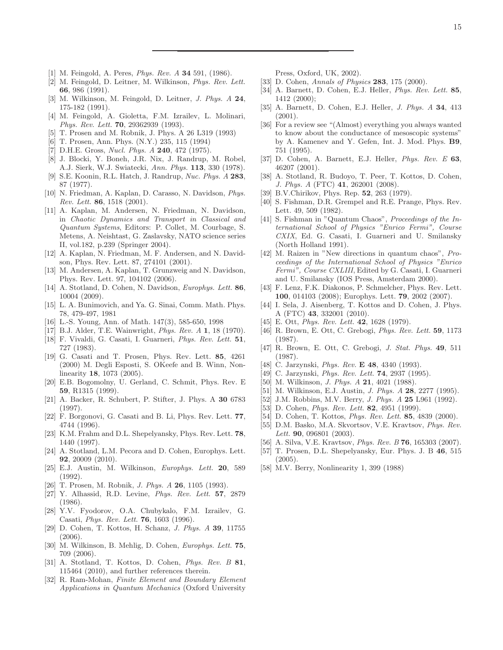- <span id="page-14-0"></span>[1] M. Feingold, A. Peres, Phys. Rev. A 34 591, (1986).
- [2] M. Feingold, D. Leitner, M. Wilkinson, Phys. Rev. Lett. 66, 986 (1991).
- [3] M. Wilkinson, M. Feingold, D. Leitner, J. Phys. A 24, 175-182 (1991).
- <span id="page-14-17"></span>[4] M. Feingold, A. Gioletta, F.M. Izrailev, L. Molinari, Phys. Rev. Lett. 70, 29362939 (1993).
- [5] T. Prosen and M. Robnik, J. Phys. A 26 L319 (1993)
- <span id="page-14-1"></span>[6] T. Prosen, Ann. Phys. (N.Y.) 235, 115 (1994)
- <span id="page-14-2"></span>[7] D.H.E. Gross, Nucl. Phys. A 240, 472 (1975).
- [8] J. Blocki, Y. Boneh, J.R. Nix, J. Randrup, M. Robel, A.J. Sierk, W.J. Swiatecki, Ann. Phys. 113, 330 (1978).
- <span id="page-14-3"></span>[9] S.E. Koonin, R.L. Hatch, J. Randrup, Nuc. Phys. A 283, 87 (1977).
- <span id="page-14-4"></span>[10] N. Friedman, A. Kaplan, D. Carasso, N. Davidson, Phys. Rev. Lett. 86, 1518 (2001).
- [11] A. Kaplan, M. Andersen, N. Friedman, N. Davidson, in Chaotic Dynamics and Transport in Classical and Quantum Systems, Editors: P. Collet, M. Courbage, S. Metens, A. Neishtast, G. Zaslavsky, NATO science series II, vol.182, p.239 (Springer 2004).
- <span id="page-14-27"></span>[12] A. Kaplan, N. Friedman, M. F. Andersen, and N. Davidson, Phys. Rev. Lett. 87, 274101 (2001).
- <span id="page-14-28"></span>[13] M. Andersen, A. Kaplan, T. Grunzweig and N. Davidson, Phys. Rev. Lett. 97, 104102 (2006).
- <span id="page-14-5"></span>[14] A. Stotland, D. Cohen, N. Davidson, *Europhys. Lett.* 86. 10004 (2009).
- <span id="page-14-6"></span>[15] L. A. Bunimovich, and Ya. G. Sinai, Comm. Math. Phys. 78, 479-497, 1981
- <span id="page-14-7"></span>[16] L.-S. Young, Ann. of Math. 147(3), 585-650, 1998
- <span id="page-14-8"></span>[17] B.J. Alder, T.E. Wainwright, *Phys. Rev. A* 1, 18 (1970).
- <span id="page-14-18"></span>[18] F. Vivaldi, G. Casati, I. Guarneri, Phys. Rev. Lett. 51, 727 (1983).
- <span id="page-14-21"></span>[19] G. Casati and T. Prosen, Phys. Rev. Lett. 85, 4261 (2000) M. Degli Esposti, S. OKeefe and B. Winn, Nonlinearity 18, 1073 (2005).
- <span id="page-14-22"></span>[20] E.B. Bogomolny, U. Gerland, C. Schmit, Phys. Rev. E 59, R1315 (1999).
- <span id="page-14-23"></span>[21] A. Backer, R. Schubert, P. Stifter, J. Phys. A 30 6783 (1997).
- <span id="page-14-24"></span>[22] F. Borgonovi, G. Casati and B. Li, Phys. Rev. Lett. 77, 4744 (1996).
- <span id="page-14-25"></span>[23] K.M. Frahm and D.L. Shepelyansky, Phys. Rev. Lett. 78, 1440 (1997).
- <span id="page-14-9"></span>[24] A. Stotland, L.M. Pecora and D. Cohen, Europhys. Lett. 92, 20009 (2010).
- <span id="page-14-10"></span>[25] E.J. Austin, M. Wilkinson, Europhys. Lett. 20, 589 (1992).
- [26] T. Prosen, M. Robnik, *J. Phys. A* **26**, 1105 (1993).
- [27] Y. Alhassid, R.D. Levine, Phys. Rev. Lett. 57, 2879 (1986).
- <span id="page-14-11"></span>[28] Y.V. Fyodorov, O.A. Chubykalo, F.M. Izrailev, G. Casati, *Phys. Rev. Lett.* **76**, 1603 (1996).
- <span id="page-14-12"></span>[29] D. Cohen, T. Kottos, H. Schanz, J. Phys. A 39, 11755 (2006).
- <span id="page-14-35"></span>[30] M. Wilkinson, B. Mehlig, D. Cohen, Europhys. Lett. 75, 709 (2006).
- <span id="page-14-13"></span>[31] A. Stotland, T. Kottos, D. Cohen, Phys. Rev. B 81, 115464 (2010), and further references therein.
- <span id="page-14-14"></span>[32] R. Ram-Mohan, Finite Element and Boundary Element Applications in Quantum Mechanics (Oxford University

Press, Oxford, UK, 2002).

- <span id="page-14-15"></span>[33] D. Cohen, Annals of Physics **283**, 175 (2000).
- [34] A. Barnett, D. Cohen, E.J. Heller, *Phys. Rev. Lett.* 85, 1412 (2000);
- <span id="page-14-16"></span>[35] A. Barnett, D. Cohen, E.J. Heller, J. Phys. A 34, 413 (2001).
- <span id="page-14-19"></span>[36] For a review see "(Almost) everything you always wanted to know about the conductance of mesoscopic systems" by A. Kamenev and Y. Gefen, Int. J. Mod. Phys. B9, 751 (1995).
- <span id="page-14-20"></span>[37] D. Cohen, A. Barnett, E.J. Heller, *Phys. Rev. E* 63, 46207 (2001).
- <span id="page-14-29"></span>[38] A. Stotland, R. Budoyo, T. Peer, T. Kottos, D. Cohen, J. Phys. A (FTC) 41, 262001 (2008).
- <span id="page-14-30"></span>[39] B.V.Chirikov, Phys. Rep. **52**, 263 (1979).
- [40] S. Fishman, D.R. Grempel and R.E. Prange, Phys. Rev. Lett. 49, 509 (1982).
- [41] S. Fishman in "Quantum Chaos", *Proceedings of the In*ternational School of Physics "Enrico Fermi", Course CXIX, Ed. G. Casati, I. Guarneri and U. Smilansky (North Holland 1991).
- <span id="page-14-31"></span>[42] M. Raizen in "New directions in quantum chaos", Proceedings of the International School of Physics "Enrico Fermi", Course CXLIII, Edited by G. Casati, I. Guarneri and U. Smilansky (IOS Press, Amsterdam 2000).
- <span id="page-14-32"></span>[43] F. Lenz, F.K. Diakonos, P. Schmelcher, Phys. Rev. Lett. 100, 014103 (2008); Europhys. Lett. 79, 2002 (2007).
- <span id="page-14-26"></span>[44] I. Sela, J. Aisenberg, T. Kottos and D. Cohen, J. Phys. A (FTC) 43, 332001 (2010).
- <span id="page-14-33"></span>[45] E. Ott, *Phys. Rev. Lett.* **42**, 1628 (1979).
- [46] R. Brown, E. Ott, C. Grebogi, Phys. Rev. Lett. 59, 1173 (1987).
- [47] R. Brown, E. Ott, C. Grebogi, J. Stat. Phys. 49, 511 (1987).
- [48] C. Jarzynski, *Phys. Rev.* **E 48**, 4340 (1993).
- [49] C. Jarzynski, *Phys. Rev. Lett.* **74**, 2937 (1995).
- <span id="page-14-36"></span>[50] M. Wilkinson, *J. Phys. A* **21**, 4021 (1988).
- [51] M. Wilkinson, E.J. Austin, *J. Phys. A* **28**, 2277 (1995).
- <span id="page-14-34"></span>[52] J.M. Robbins, M.V. Berry, *J. Phys. A* **25** L961 (1992).
- [53] D. Cohen, *Phys. Rev. Lett.* **82**, 4951 (1999).
- [54] D. Cohen, T. Kottos, *Phys. Rev. Lett.* **85**, 4839 (2000).
- [55] D.M. Basko, M.A. Skvortsov, V.E. Kravtsov, Phys. Rev. Lett. **90**, 096801 (2003).
- <span id="page-14-37"></span>[56] A. Silva, V.E. Kravtsov, *Phys. Rev. B* **76**, 165303 (2007).
- <span id="page-14-38"></span>[57] T. Prosen, D.L. Shepelyansky, Eur. Phys. J. B 46, 515 (2005).
- <span id="page-14-39"></span>[58] M.V. Berry, Nonlinearity 1, 399 (1988)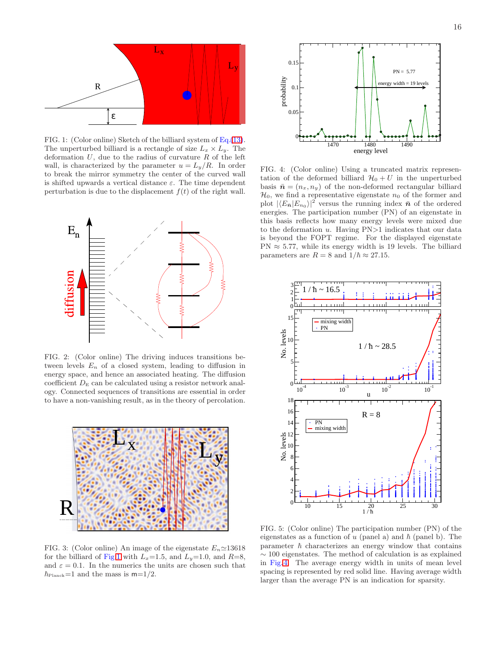

<span id="page-15-0"></span>FIG. 1: (Color online) Sketch of the billiard system of Eq.[\(13\)](#page-1-1). The unperturbed billiard is a rectangle of size  $L_x \times L_y$ . The deformation  $U$ , due to the radius of curvature  $R$  of the left wall, is characterized by the parameter  $u = L_y/R$ . In order to break the mirror symmetry the center of the curved wall is shifted upwards a vertical distance  $\varepsilon$ . The time dependent perturbation is due to the displacement  $f(t)$  of the right wall.



<span id="page-15-1"></span>FIG. 2: (Color online) The driving induces transitions between levels  $E_n$  of a closed system, leading to diffusion in energy space, and hence an associated heating. The diffusion coefficient  $D<sub>E</sub>$  can be calculated using a resistor network analogy. Connected sequences of transitions are essential in order to have a non-vanishing result, as in the theory of percolation.



<span id="page-15-2"></span>FIG. 3: (Color online) An image of the eigenstate  $E_n \approx 13618$ for the billiard of Fig[.1](#page-15-0) with  $L_x=1.5$ , and  $L_y=1.0$ , and  $R=8$ , and  $\varepsilon = 0.1$ . In the numerics the units are chosen such that  $\hbar_{\text{Planck}}=1$  and the mass is  $m=1/2$ .



<span id="page-15-3"></span>FIG. 4: (Color online) Using a truncated matrix representation of the deformed billiard  $\mathcal{H}_0 + U$  in the unperturbed basis  $\bar{\boldsymbol{n}} = (n_x, n_y)$  of the non-deformed rectangular billiard  $\mathcal{H}_0$ , we find a representative eigenstate  $n_0$  of the former and plot  $|\langle E_{\bar{n}} | E_{n_0} \rangle|^2$  versus the running index  $\bar{n}$  of the ordered energies. The participation number (PN) of an eigenstate in this basis reflects how many energy levels were mixed due to the deformation  $u$ . Having  $PN>1$  indicates that our data is beyond the FOPT regime. For the displayed eigenstate  $PN \approx 5.77$ , while its energy width is 19 levels. The billiard parameters are  $R = 8$  and  $1/\hbar \approx 27.15$ .



<span id="page-15-4"></span>FIG. 5: (Color online) The participation number (PN) of the eigenstates as a function of u (panel a) and  $\hbar$  (panel b). The parameter  $\hbar$  characterizes an energy window that contains  $\sim$  100 eigenstates. The method of calculation is as explained in Fig[. 4.](#page-15-3) The average energy width in units of mean level spacing is represented by red solid line. Having average width larger than the average PN is an indication for sparsity.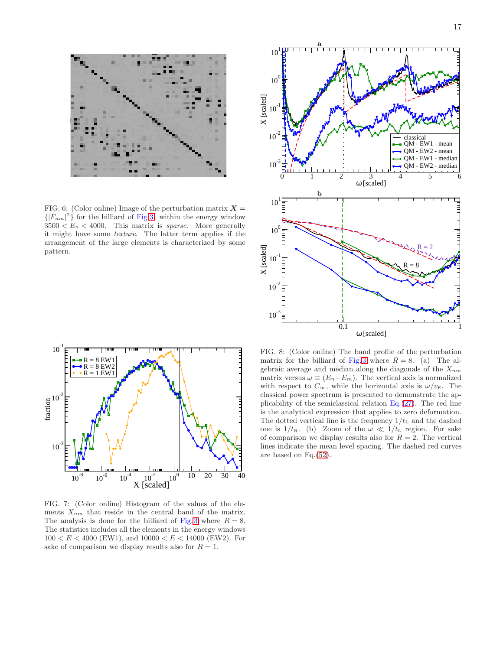<span id="page-16-0"></span>FIG. 6: (Color online) Image of the perturbation matrix  $X =$  $\{ |F_{nm}|^2 \}$  for the billiard of Fig[.3.](#page-15-2) within the energy window  $3500 < E_n < 4000$ . This matrix is *sparse*. More generally it might have some texture. The latter term applies if the arrangement of the large elements is characterized by some pattern.





<span id="page-16-1"></span>FIG. 7: (Color online) Histogram of the values of the elements  $X_{nm}$  that reside in the central band of the matrix. The analysis is done for the billiard of Fig. [3](#page-15-2) where  $R = 8$ . The statistics includes all the elements in the energy windows  $100 < E < 4000$  (EW1), and  $10000 < E < 14000$  (EW2). For sake of comparison we display results also for  $R = 1$ .

<span id="page-16-2"></span>FIG. 8: (Color online) The band profile of the perturbation matrix for the billiard of Fig[. 3](#page-15-2) where  $R = 8$ . (a) The algebraic average and median along the diagonals of the  $X_{nm}$ matrix versus  $\omega \equiv (E_n - E_m)$ . The vertical axis is normalized with respect to  $C_{\infty}$ , while the horizontal axis is  $\omega/v_{\rm E}$ . The classical power spectrum is presented to demonstrate the applicability of the semiclassical relation  $Eq.(27)$  $Eq.(27)$ . The red line is the analytical expression that applies to zero deformation. The dotted vertical line is the frequency  $1/t_L$  and the dashed one is  $1/t_R$ . (b) Zoom of the  $\omega \ll 1/t_L$  region. For sake of comparison we display results also for  $R = 2$ . The vertical lines indicate the mean level spacing. The dashed red curves are based on Eq.[\(52\)](#page-5-4).